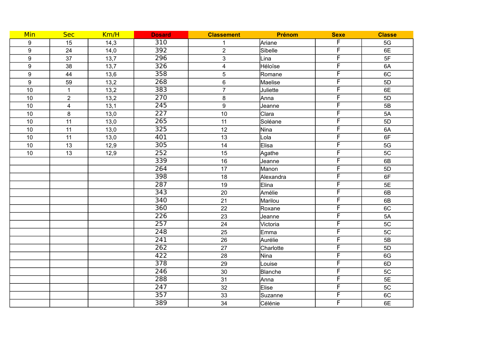| Min              | <b>Sec</b>              | Km/H | <b>Dosard</b>    | <b>Classement</b>       | Prénom       | <b>Sexe</b>             | <b>Classe</b>   |
|------------------|-------------------------|------|------------------|-------------------------|--------------|-------------------------|-----------------|
| 9                | 15                      | 14,3 | $\overline{310}$ |                         | Ariane       | F                       | 5G              |
| $\boldsymbol{9}$ | 24                      | 14,0 | $\overline{392}$ | $\overline{2}$          | Sibelle      | F                       | 6E              |
| $\boldsymbol{9}$ | 37                      | 13,7 | $\overline{296}$ | 3                       | Lina         | F                       | 5F              |
| 9                | 38                      | 13,7 | $\overline{326}$ | $\overline{\mathbf{4}}$ | Héloïse      | F                       | 6A              |
| $\boldsymbol{9}$ | 44                      | 13,6 | $\overline{358}$ | $\sqrt{5}$              | Romane       | F                       | 6C              |
| 9                | 59                      | 13,2 | 268              | 6                       | Maelise      | F                       | 5D              |
| 10               | $\mathbf{1}$            | 13,2 | 383              | $\overline{7}$          | Juliette     | $\overline{F}$          | 6E              |
| 10               | $\overline{2}$          | 13,2 | 270              | 8                       | Anna         | $\overline{F}$          | 5D              |
| $10$             | $\overline{\mathbf{4}}$ | 13,1 | 245              | 9                       | Jeanne       | $\overline{\mathsf{F}}$ | 5B              |
| 10               | 8                       | 13,0 | 227              | 10                      | Clara        | F                       | 5A              |
| 10               | 11                      | 13,0 | $\overline{265}$ | 11                      | Soléane      | $\overline{F}$          | 5D              |
| 10               | 11                      | 13,0 | $\overline{325}$ | 12                      | Nina         | $\overline{F}$          | 6A              |
| 10               | 11                      | 13,0 | 401              | 13                      | Lola         | $\overline{\mathsf{F}}$ | 6F              |
| 10               | 13                      | 12,9 | 305              | 14                      | Elisa        | F                       | 5G              |
| 10               | $\overline{13}$         | 12,9 | 252              | $\overline{15}$         | Agathe       | F                       | $\overline{5C}$ |
|                  |                         |      | 339              | 16                      | Jeanne       | $\overline{\mathsf{F}}$ | 6B              |
|                  |                         |      | $\overline{264}$ | $\overline{17}$         | Manon        | $\overline{\mathsf{F}}$ | 5D              |
|                  |                         |      | 398              | 18                      | Alexandra    | F                       | 6F              |
|                  |                         |      | $\overline{287}$ | 19                      | Elina        | F                       | 5E              |
|                  |                         |      | $\overline{343}$ | 20                      | Amélie       | F                       | 6B              |
|                  |                         |      | $\overline{340}$ | 21                      | Marilou      | F                       | 6B              |
|                  |                         |      | 360              | 22                      | Roxane       | F                       | 6C              |
|                  |                         |      | $\overline{226}$ | 23                      | Jeanne       | $\overline{F}$          | 5A              |
|                  |                         |      | 257              | 24                      | Victoria     | F                       | 5C              |
|                  |                         |      | 248              | 25                      | Emma         | F                       | 5C              |
|                  |                         |      | 241              | 26                      | Aurélie      | $\overline{F}$          | 5B              |
|                  |                         |      | $\overline{262}$ | 27                      | Charlotte    | F                       | 5D              |
|                  |                         |      | 422              | 28                      | Nina         | $\overline{\mathsf{F}}$ | 6G              |
|                  |                         |      | $\overline{378}$ | 29                      | Louise       | F                       | 6D              |
|                  |                         |      | $\overline{246}$ | $\overline{30}$         | Blanche      | F                       | 5C              |
|                  |                         |      | 288              | 31                      | Anna         | F                       | 5E              |
|                  |                         |      | 247              | 32                      | <b>Elise</b> | $\overline{\mathsf{F}}$ | 5C              |
|                  |                         |      | $\overline{357}$ | 33                      | Suzanne      | F                       | 6C              |
|                  |                         |      | 389              | 34                      | Célénie      | F                       | 6E              |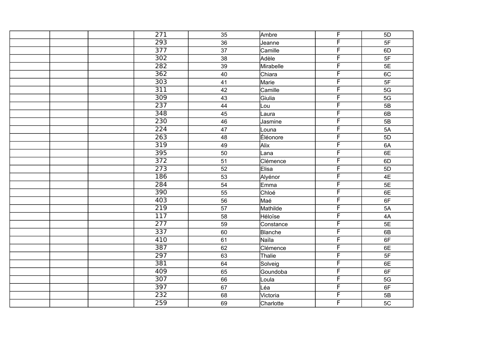| $\overline{271}$ | 35              | Ambre          | $\overline{F}$ | 5D              |
|------------------|-----------------|----------------|----------------|-----------------|
| 293              | 36              | Jeanne         | F              | 5F              |
| $\overline{377}$ | $\overline{37}$ | Camille        | F              | 6D              |
| $\overline{302}$ | 38              | Adèle          | F              | 5F              |
| $\overline{282}$ | 39              | Mirabelle      | F              | 5E              |
| $\overline{362}$ | $40\,$          | Chiara         | F              | 6C              |
| 303              | $\overline{41}$ | Marie          | F              | 5F              |
| $\overline{311}$ | 42              | Camille        | F              | 5G              |
| $\overline{309}$ | 43              | Giulia         | F              | $\overline{5G}$ |
| 237              | 44              | Lou            | F              | 5B              |
| 348              | $\overline{45}$ | Laura          | F              | 6B              |
| $\overline{230}$ | 46              | Jasmine        | F              | 5B              |
| $\overline{224}$ | 47              | Louna          | F              | 5A              |
| 263              | 48              | Éléonore       | F              | $\overline{5D}$ |
| 319              | 49              | Alix           | F              | 6A              |
| $\overline{395}$ | 50              | $L$ ana        | F              | 6E              |
| $\frac{1}{372}$  | 51              | Clémence       | F              | 6D              |
| 273              | 52              | Elisa          | F              | 5D              |
| 186              | 53              | Alyénor        | F              | 4E              |
| $\overline{284}$ | 54              | Emma           | F              | 5E              |
| $\overline{390}$ | 55              | Chloé          | F              | 6E              |
| 403              | $\overline{56}$ | Maé            | F              | 6F              |
| 219              | $\overline{57}$ | Mathilde       | F              | 5A              |
| $\overline{117}$ | 58              | Héloïse        | F              | $4A$            |
| $\overline{277}$ | 59              | Constance      | F              | 5E              |
| 337              | 60              | <b>Blanche</b> | F              | 6B              |
| 410              | 61              | Naïla          | F              | 6F              |
| $\overline{387}$ | 62              | Clémence       | F              | 6E              |
| 297              | 63              | Thalie         | F              | 5F              |
| 381              | 64              | Solveig        | F              | 6E              |
| 409              | 65              | Goundoba       | F              | 6F              |
| $\overline{307}$ | 66              | Loula          | F              | $5G$            |
| 397              | 67              | Léa            | F              | 6F              |
| 232              | 68              | Victoria       | F              | 5B              |
| 259              | 69              | Charlotte      | F              | 5C              |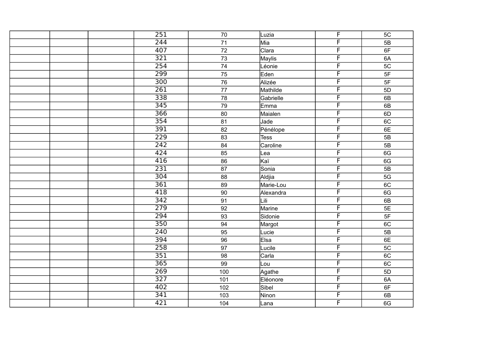|  | $\overline{251}$ | 70              | Luzia       | $\overline{F}$          | 5C              |
|--|------------------|-----------------|-------------|-------------------------|-----------------|
|  | 244              | 71              | Mia         | F                       | 5B              |
|  | 407              | $\overline{72}$ | Clara       | F                       | 6F              |
|  | 321              | $\overline{73}$ | Maylis      | F                       | 6A              |
|  | 254              | 74              | Léonie      | F                       | $\overline{5C}$ |
|  | 299              | 75              | Eden        | F                       | 5F              |
|  | 300              | 76              | Alizée      | F                       | 5F              |
|  | $\overline{261}$ | $\overline{77}$ | Mathilde    | F                       | 5D              |
|  | $\overline{338}$ | 78              | Gabrielle   | F                       | 6B              |
|  | 345              | 79              | Emma        | F                       | 6B              |
|  | 366              | 80              | Maialen     | F                       | 6D              |
|  | 354              | 81              | Jade        | F                       | 6C              |
|  | 391              | $\overline{82}$ | Pénélope    | F                       | 6E              |
|  | 229              | $\overline{83}$ | <b>Tess</b> | F                       | $\overline{5B}$ |
|  | 242              | 84              | Caroline    | F                       | $\overline{5B}$ |
|  | 424              | 85              | Lea         | F                       | 6G              |
|  | 416              | 86              | Kaï         | $\overline{F}$          | 6G              |
|  | 231              | 87              | Sonia       | F                       | 5B              |
|  | 304              | 88              | Aldjia      | F                       | 5G              |
|  | $\overline{361}$ | 89              | Marie-Lou   | F                       | 6C              |
|  | 418              | 90              | Alexandra   | F                       | 6G              |
|  | 342              | 91              | Lili        | F                       | 6B              |
|  | 279              | 92              | Marine      | F                       | $\overline{5E}$ |
|  | 294              | 93              | Sidonie     | F                       | 5F              |
|  | 350              | 94              | Margot      | F                       | 6C              |
|  | 240              | 95              | Lucie       | F                       | 5B              |
|  | 394              | 96              | Elsa        | F                       | 6E              |
|  | 258              | 97              | Lucile      | F                       | 5C              |
|  | $\overline{351}$ | 98              | Carla       | F                       | 6C              |
|  | 365              | 99              | Lou         | F                       | 6C              |
|  | 269              | 100             | Agathe      | F                       | $\overline{5D}$ |
|  | $\overline{327}$ | 101             | Eléonore    | F                       | 6A              |
|  | 402              | 102             | Sibel       | $\overline{\mathsf{F}}$ | 6F              |
|  | 341              | 103             | Ninon       | F                       | 6B              |
|  | 421              | 104             | Lana        | F                       | 6G              |
|  |                  |                 |             |                         |                 |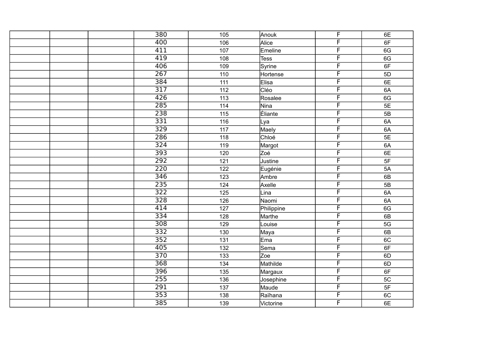|  | 380              | 105               | Anouk       | $\overline{F}$          | 6E   |
|--|------------------|-------------------|-------------|-------------------------|------|
|  | 400              | 106               | Alice       | F                       | 6F   |
|  | 411              | 107               | Emeline     | F                       | 6G   |
|  | 419              | 108               | <b>Tess</b> | F                       | 6G   |
|  | 406              | 109               |             | F                       | 6F   |
|  |                  |                   | Syrine      | F                       |      |
|  | 267              | 110               | Hortense    |                         | 5D   |
|  | 384              | $\overline{111}$  | Elisa       | F                       | 6E   |
|  | $\overline{317}$ | 112               | Cléo        | F                       | 6A   |
|  | 426              | 113               | Rosalee     | F                       | 6G   |
|  | 285              | 114               | Nina        | F                       | 5E   |
|  | 238              | $\frac{115}{115}$ | Eliante     | F                       | 5B   |
|  | 331              | 116               | Lya         | F                       | 6A   |
|  | $\overline{329}$ | $117$             | Maely       | F                       | 6A   |
|  | 286              | $\overline{118}$  | Chloé       | F                       | 5E   |
|  | 324              | 119               | Margot      | F                       | 6A   |
|  | $\overline{393}$ | 120               | Zoé         | F                       | 6E   |
|  | $\overline{292}$ | 121               | Justine     | $\overline{F}$          | $5F$ |
|  | $\overline{220}$ | $\frac{1}{22}$    | Eugénie     | F                       | 5A   |
|  | 346              | $\overline{123}$  | Ambre       | F                       | 6B   |
|  | 235              | 124               | Axelle      | F                       | 5B   |
|  | $\overline{322}$ | 125               | Lina        | F                       | 6A   |
|  | 328              | $\frac{126}{ }$   | Naomi       | F                       | 6A   |
|  | 414              | $\frac{1}{127}$   | Philippine  | F                       | 6G   |
|  | $\frac{1}{334}$  | 128               | Marthe      | F                       | 6B   |
|  | $\overline{308}$ | 129               | Louise      | F                       | 5G   |
|  | 332              | 130               | Maya        | F                       | 6B   |
|  | 352              | 131               | Ema         | F                       | 6C   |
|  | 405              | 132               | Sema        | F                       | 6F   |
|  | $\overline{370}$ | 133               | Zoe         | F                       | 6D   |
|  | 368              | $\overline{134}$  | Mathilde    | F                       | 6D   |
|  | 396              | $\overline{135}$  | Margaux     | F                       | 6F   |
|  | 255              | 136               | Josephine   | F                       | 5C   |
|  | $\overline{291}$ | 137               | Maude       | $\overline{\mathsf{F}}$ | 5F   |
|  | 353              | 138               | Raïhana     | F                       | 6C   |
|  | 385              | 139               | Victorine   | F                       | 6E   |
|  |                  |                   |             |                         |      |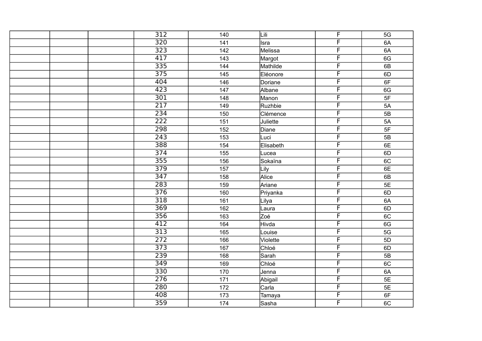|  | $\overline{312}$ | 140              | Lili      | $\overline{F}$ | 5G              |
|--|------------------|------------------|-----------|----------------|-----------------|
|  | $\overline{320}$ | 141              | Isra      | F              | 6A              |
|  | $\overline{323}$ | $\frac{1}{142}$  | Melissa   | F              | 6A              |
|  | 417              | 143              | Margot    | F              | 6G              |
|  | 335              | 144              | Mathilde  | F              | 6B              |
|  | $\frac{1}{375}$  | 145              | Eléonore  | F              | 6D              |
|  | 404              | 146              | Doriane   | F              | 6F              |
|  | $\overline{423}$ | 147              | Albane    | F              | 6G              |
|  | $\overline{301}$ | 148              | Manon     | F              | 5F              |
|  | $\overline{217}$ | 149              | Ruzhbie   | F              | 5A              |
|  | 234              | 150              | Clémence  | F              | 5B              |
|  | $\overline{222}$ | 151              | Juliette  | F              | 5A              |
|  | 298              | 152              | Diane     | F              | 5F              |
|  | $\overline{243}$ | $\overline{153}$ | Luci      | F              | $\overline{5B}$ |
|  | 388              | $\overline{154}$ | Elisabeth | F              | 6E              |
|  | $\overline{374}$ | 155              | Lucea     | F              | 6D              |
|  | 355              | 156              | Sokaïna   | $\overline{F}$ | 6C              |
|  | 379              | 157              | Lily      | F              | 6E              |
|  | $\overline{347}$ | 158              | Alice     | F              | 6B              |
|  | 283              | 159              | Ariane    | F              | 5E              |
|  | $\overline{376}$ | 160              | Priyanka  | F              | 6D              |
|  | 318              | 161              | Lilya     | F              | 6A              |
|  | 369              | $\overline{162}$ | Laura     | F              | 6D              |
|  | 356              | 163              | Zoé       | F              | 6C              |
|  | 412              | 164              | Hivda     | F              | 6G              |
|  | $\overline{313}$ | 165              | Louise    | F              | 5G              |
|  | 272              | 166              | Violette  | F              | 5D              |
|  | $\overline{373}$ | 167              | Chloé     | F              | 6D              |
|  | 239              | 168              | Sarah     | F              | 5B              |
|  | 349              | 169              | Chloé     | F              | 6C              |
|  | $\overline{330}$ | 170              | Jenna     | F              | 6A              |
|  | $\overline{276}$ | 171              | Abigail   | F              | 5E              |
|  | 280              | 172              | Carla     | $\overline{F}$ | 5E              |
|  | 408              | 173              | Tamaya    | F              | 6F              |
|  | 359              | 174              | Sasha     | F              | 6C              |
|  |                  |                  |           |                |                 |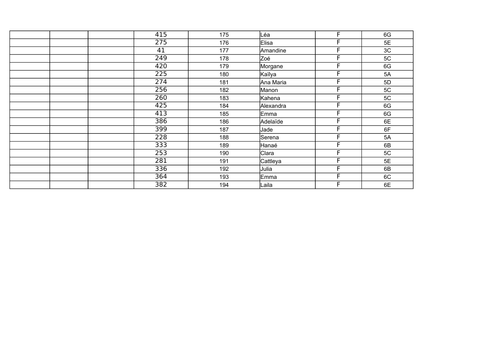| 415              | 175 | Léa       | F | 6G |
|------------------|-----|-----------|---|----|
| 275              | 176 | Elisa     | F | 5E |
| 41               | 177 | Amandine  | Е | 3C |
| $\overline{249}$ | 178 | Zoé       | F | 5C |
| 420              | 179 | Morgane   | F | 6G |
| $\overline{225}$ | 180 | Kaïlya    | Е | 5A |
| $\overline{274}$ | 181 | Ana Maria | F | 5D |
| 256              | 182 | Manon     | F | 5C |
| 260              | 183 | Kahena    | F | 5C |
| 425              | 184 | Alexandra | Е | 6G |
| 413              | 185 | Emma      | F | 6G |
| 386              | 186 | Adelaïde  | F | 6E |
| 399              | 187 | Jade      | F | 6F |
| $\overline{228}$ | 188 | Serena    | F | 5A |
| 333              | 189 | Hanaé     | F | 6B |
| 253              | 190 | Clara     | F | 5C |
| 281              | 191 | Cattleya  | Е | 5E |
| 336              | 192 | Julia     | Е | 6B |
| 364              | 193 | Emma      | Е | 6C |
| 382              | 194 | Laila     | F | 6E |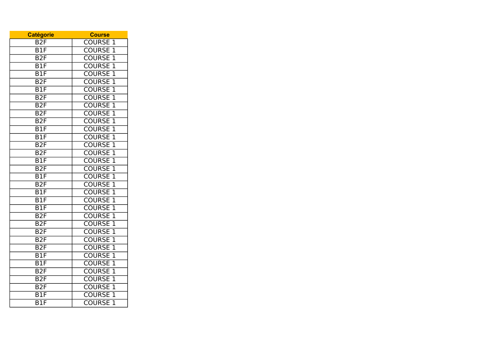| <b>Catégorie</b>          | <b>Course</b>                   |
|---------------------------|---------------------------------|
| B <sub>2</sub> F          | <b>COURSE</b><br>$\mathbf 1$    |
| B1F                       | <b>COURSE</b><br>$\mathbf 1$    |
| $\overline{B2F}$          | $\overline{1}$<br><b>COURSE</b> |
| B1F                       | <b>COURSE</b><br>$\overline{1}$ |
| $\overline{B1F}$          | $\overline{1}$<br><b>COURSE</b> |
| $\overline{B2F}$          | <b>COURSE</b><br>$\overline{1}$ |
| $\overline{BIF}$          | <b>COURSE</b><br>$\overline{1}$ |
| B2F                       | <b>COURSE</b><br>$\overline{1}$ |
| B <sub>2F</sub>           | $\overline{1}$<br><b>COURSE</b> |
| $\overline{B2F}$          | $\overline{1}$<br><b>COURSE</b> |
| B2F                       | $\overline{1}$<br><b>COURSE</b> |
| B1F                       | $\overline{1}$<br><b>COURSE</b> |
| $\overline{B1F}$          | $\overline{1}$<br><b>COURSE</b> |
| $\overline{B2F}$          | <b>COURSE</b><br>$\overline{1}$ |
| B2F                       | <b>COURSE</b><br>$\overline{1}$ |
| B1F                       | <b>COURSE</b><br>1              |
| B2F                       | $\overline{1}$<br><b>COURSE</b> |
| $\overline{B1F}$          | <b>COURSE</b><br>$\overline{1}$ |
| B2F                       | $\overline{1}$<br><b>COURSE</b> |
| $\overline{B1F}$          | <b>COURSE</b><br>$\overline{1}$ |
| $\overline{B1F}$          | <b>COURSE</b><br>$\overline{1}$ |
| $\overline{B1F}$          | $\overline{1}$<br><b>COURSE</b> |
| B2F                       | <b>COURSE</b><br>$\overline{1}$ |
| B2F                       | $\overline{1}$<br><b>COURSE</b> |
| $\overline{B2F}$          | $\overline{1}$<br><b>COURSE</b> |
| $\overline{B2F}$          | $\overline{1}$<br><b>COURSE</b> |
| $\overline{B2F}$          | $\overline{1}$<br><b>COURSE</b> |
| $\overline{B1F}$          | <b>COURSE</b><br>$\overline{1}$ |
| B <sub>1F</sub>           | <b>COURSE</b><br>$\overline{1}$ |
| B2F                       | <b>COURSE</b><br>$\overline{1}$ |
| B <sub>2F</sub>           | $\overline{1}$<br><b>COURSE</b> |
| B <sub>2F</sub>           | <b>COURSE</b><br>$\overline{1}$ |
| B1F                       | $\overline{1}$<br><b>COURSE</b> |
| $\overline{\mathsf{B1F}}$ | <b>COURSE</b><br>$\overline{1}$ |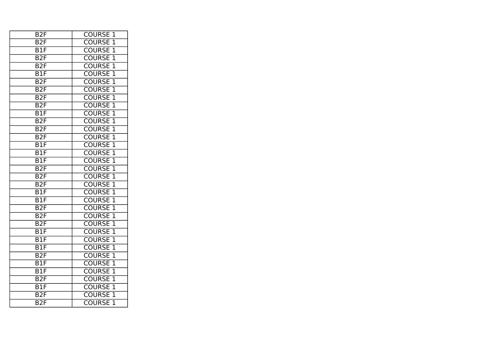| B <sub>2</sub> F | <b>COURSE</b><br>1              |
|------------------|---------------------------------|
| B <sub>2F</sub>  | <b>COURSE</b><br>1              |
| B1F              | <b>COURSE</b><br>$\overline{1}$ |
| B <sub>2F</sub>  | $\overline{1}$<br><b>COURSE</b> |
| B2F              | $\overline{1}$<br><b>COURSE</b> |
| $\overline{B1F}$ | $\overline{1}$<br><b>COURSE</b> |
| B2F              | $\overline{1}$<br><b>COURSE</b> |
| $\overline{B2F}$ | <b>COURSE</b><br>$\overline{1}$ |
| B2F              | $\overline{1}$<br><b>COURSE</b> |
| B <sub>2F</sub>  | <b>COURSE</b><br>$\overline{1}$ |
| B1F              | $\overline{1}$<br><b>COURSE</b> |
| $\overline{B2F}$ | $\overline{1}$<br><b>COURSE</b> |
| B2F              | $\overline{1}$<br><b>COURSE</b> |
| B2F              | $\overline{1}$<br><b>COURSE</b> |
| $\overline{B1F}$ | <b>COURSE</b><br>$\overline{1}$ |
| B1F              | $\overline{1}$<br><b>COURSE</b> |
| B1F              | <b>COURSE</b><br>$\overline{1}$ |
| B2F              | <b>COURSE</b><br>$\overline{1}$ |
| B2F              | <b>COURSE</b><br>$\overline{1}$ |
| B2F              | $\overline{1}$<br><b>COURSE</b> |
| B1F              | <b>COURSE</b><br>$\overline{1}$ |
| $\overline{BIF}$ | <b>COURSE</b><br>$\overline{1}$ |
| B2F              | <b>COURSE</b><br>$\overline{1}$ |
| B2F              | $\overline{1}$<br><b>COURSE</b> |
| B <sub>2F</sub>  | $\overline{1}$<br><b>COURSE</b> |
| $\overline{B1F}$ | $\overline{1}$<br><b>COURSE</b> |
| $\overline{B1F}$ | <b>COURSE</b><br>$\overline{1}$ |
| B1F              | $\overline{1}$<br><b>COURSE</b> |
| B2F              | $\overline{1}$<br><b>COURSE</b> |
| $\overline{B1F}$ | <b>COURSE</b><br>$\overline{1}$ |
| $\overline{B1F}$ | <b>COURSE</b><br>$\overline{1}$ |
| B2F              | <b>COURSE</b><br>$\overline{1}$ |
| B1F              | <b>COURSE</b><br>1              |
| B2F              | <b>COURSE</b><br>$\overline{1}$ |
| B <sub>2</sub> F | <b>COURSE</b><br>$\overline{1}$ |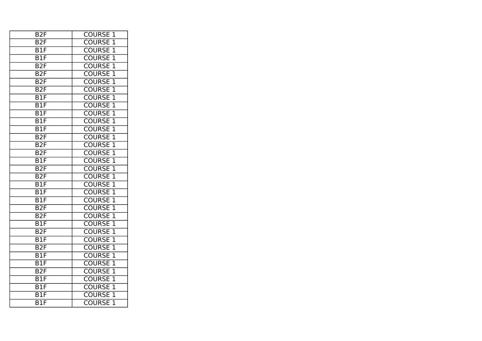| B <sub>2</sub> F | <b>COURSE</b><br>1              |
|------------------|---------------------------------|
| B <sub>2F</sub>  | <b>COURSE</b><br>1              |
| B1F              | <b>COURSE</b><br>$\overline{1}$ |
| B1F              | $\overline{1}$<br><b>COURSE</b> |
| B2F              | $\overline{1}$<br><b>COURSE</b> |
| B2F              | <b>COURSE 1</b>                 |
| B2F              | $\overline{1}$<br><b>COURSE</b> |
| $\overline{B2F}$ | $\overline{1}$<br><b>COURSE</b> |
| B1F              | $\overline{1}$<br><b>COURSE</b> |
| B <sub>1F</sub>  | $\overline{1}$<br><b>COURSE</b> |
| $\overline{B1F}$ | $\overline{1}$<br><b>COURSE</b> |
| B1F              | <b>COURSE</b><br>$\overline{1}$ |
| B1F              | $\overline{1}$<br><b>COURSE</b> |
| B2F              | $\overline{1}$<br><b>COURSE</b> |
| B2F              | <b>COURSE</b><br>$\overline{1}$ |
| B2F              | <b>COURSE</b><br>$\overline{1}$ |
| B <sub>1F</sub>  | <b>COURSE</b><br>$\overline{1}$ |
| B <sub>2F</sub>  | <b>COURSE</b><br>1              |
| $\overline{B2F}$ | <b>COURSE</b><br>$\overline{1}$ |
| $\overline{B1F}$ | <b>COURSE</b><br>$\overline{1}$ |
| B1F              | $\overline{1}$<br><b>COURSE</b> |
| $\overline{B1F}$ | $\overline{1}$<br><b>COURSE</b> |
| B2F              | $\overline{1}$<br><b>COURSE</b> |
| B2F              | $\overline{1}$<br><b>COURSE</b> |
| B1F              | <b>COURSE</b><br>$\overline{1}$ |
| B2F              | $\overline{1}$<br><b>COURSE</b> |
| B1F              | $\overline{1}$<br><b>COURSE</b> |
| $\overline{B2F}$ | $\overline{1}$<br><b>COURSE</b> |
| $\overline{B1F}$ | <b>COURSE</b><br>$\overline{1}$ |
| $\overline{B1F}$ | $\overline{1}$<br><b>COURSE</b> |
| B <sub>2F</sub>  | <b>COURSE</b><br>$\overline{1}$ |
| B1F              | <b>COURSE</b><br>$\overline{1}$ |
| B1F              | <b>COURSE</b><br>1              |
| B1F              | $\overline{1}$<br><b>COURSE</b> |
| B1F              | <b>COURSE</b><br>$\overline{1}$ |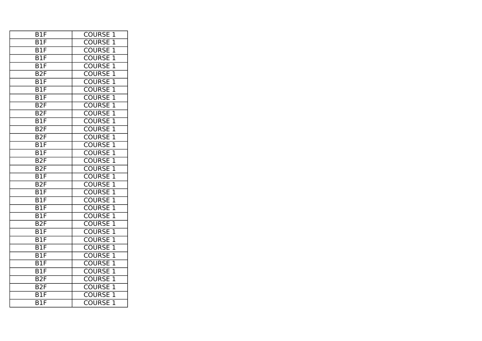| B1F                       | <b>COURSE</b><br>1              |
|---------------------------|---------------------------------|
| B1F                       | <b>COURSE</b><br>1              |
| B1F                       | <b>COURSE</b><br>$\overline{1}$ |
| B1F                       | $\overline{1}$<br><b>COURSE</b> |
| $\overline{B1F}$          | $\overline{1}$<br><b>COURSE</b> |
| B2F                       | $\overline{1}$<br><b>COURSE</b> |
| $\overline{B1F}$          | $\overline{1}$<br><b>COURSE</b> |
| $\overline{B1F}$          | <b>COURSE</b><br>$\overline{1}$ |
| B1F                       | $\overline{1}$<br><b>COURSE</b> |
| B2F                       | <b>COURSE</b><br>$\overline{1}$ |
| B <sub>2F</sub>           | $\overline{1}$<br><b>COURSE</b> |
| B1F                       | $\overline{1}$<br><b>COURSE</b> |
| B2F                       | $\overline{1}$<br><b>COURSE</b> |
| $\overline{B2F}$          | $\overline{1}$<br><b>COURSE</b> |
| $\overline{\mathsf{B1F}}$ | <b>COURSE</b><br>$\overline{1}$ |
| $\overline{B1F}$          | $\overline{1}$<br><b>COURSE</b> |
| B2F                       | <b>COURSE</b><br>$\overline{1}$ |
| B2F                       | <b>COURSE</b><br>$\overline{1}$ |
| B1F                       | <b>COURSE</b><br>$\overline{1}$ |
| B2F                       | <b>COURSE</b><br>$\overline{1}$ |
| B1F                       | <b>COURSE</b><br>$\overline{1}$ |
| $\overline{B1F}$          | <b>COURSE</b><br>$\overline{1}$ |
| B1F                       | <b>COURSE</b><br>$\overline{1}$ |
| B1F                       | $\overline{1}$<br><b>COURSE</b> |
| B <sub>2F</sub>           | $\overline{1}$<br><b>COURSE</b> |
| $\overline{B1F}$          | $\overline{1}$<br><b>COURSE</b> |
| $\overline{B1F}$          | <b>COURSE</b><br>$\overline{1}$ |
| B1F                       | $\overline{1}$<br><b>COURSE</b> |
| $\overline{B1F}$          | $\overline{1}$<br><b>COURSE</b> |
| $\overline{B1F}$          | <b>COURSE</b><br>$\overline{1}$ |
| $\overline{B1F}$          | <b>COURSE</b><br>$\overline{1}$ |
| B2F                       | <b>COURSE</b><br>$\overline{1}$ |
| B <sub>2F</sub>           | <b>COURSE</b><br>1              |
| $\overline{B}$            | <b>COURSE</b><br>$\overline{1}$ |
| B1F                       | <b>COURSE</b><br>$\overline{1}$ |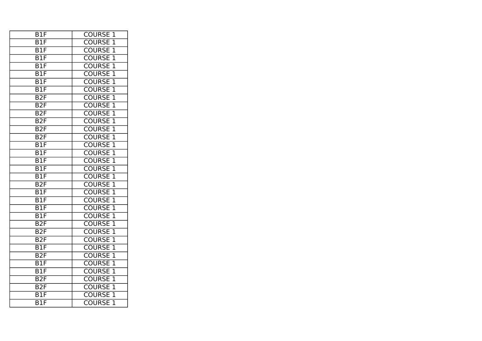| B1F                       | <b>COURSE</b><br>1              |
|---------------------------|---------------------------------|
| B1F                       | <b>COURSE</b><br>1              |
| B1F                       | <b>COURSE</b><br>$\overline{1}$ |
| B1F                       | $\overline{1}$<br><b>COURSE</b> |
| $\overline{B1F}$          | $\overline{1}$<br><b>COURSE</b> |
| $\overline{B1F}$          | <b>COURSE 1</b>                 |
| $\overline{B1F}$          | $\overline{1}$<br><b>COURSE</b> |
| $\overline{B1F}$          | $\overline{1}$<br><b>COURSE</b> |
| B2F                       | $\overline{1}$<br><b>COURSE</b> |
| B2F                       | $\overline{1}$<br><b>COURSE</b> |
| B2F                       | $\overline{1}$<br><b>COURSE</b> |
| $\overline{B2F}$          | <b>COURSE</b><br>$\overline{1}$ |
| B2F                       | $\overline{1}$<br><b>COURSE</b> |
| $\overline{B2F}$          | $\overline{1}$<br><b>COURSE</b> |
| $\overline{B1F}$          | <b>COURSE</b><br>$\overline{1}$ |
| B1F                       | <b>COURSE</b><br>$\overline{1}$ |
| B <sub>1F</sub>           | <b>COURSE</b><br>$\overline{1}$ |
| B1F                       | <b>COURSE</b><br>1              |
| $\overline{B1F}$          | <b>COURSE</b><br>$\overline{1}$ |
| B2F                       | <b>COURSE</b><br>$\overline{1}$ |
| B1F                       | $\overline{1}$<br><b>COURSE</b> |
| $\overline{B1F}$          | $\overline{1}$<br><b>COURSE</b> |
| $\overline{\mathsf{B1F}}$ | $\overline{1}$<br><b>COURSE</b> |
| $\overline{B1F}$          | $\overline{1}$<br><b>COURSE</b> |
| B2F                       | <b>COURSE</b><br>$\overline{1}$ |
| B2F                       | $\overline{1}$<br><b>COURSE</b> |
| B <sub>2F</sub>           | $\overline{1}$<br><b>COURSE</b> |
| $\overline{B1F}$          | $\overline{1}$<br><b>COURSE</b> |
| $\overline{B2F}$          | <b>COURSE</b><br>$\overline{1}$ |
| $\overline{B1F}$          | $\overline{1}$<br><b>COURSE</b> |
| $\overline{\mathsf{B1F}}$ | <b>COURSE</b><br>$\overline{1}$ |
| $\overline{B2F}$          | <b>COURSE</b><br>$\overline{1}$ |
| B <sub>2F</sub>           | <b>COURSE</b><br>1              |
| $\overline{B}1F$          | $\overline{1}$<br><b>COURSE</b> |
| B1F                       | $\overline{1}$<br><b>COURSE</b> |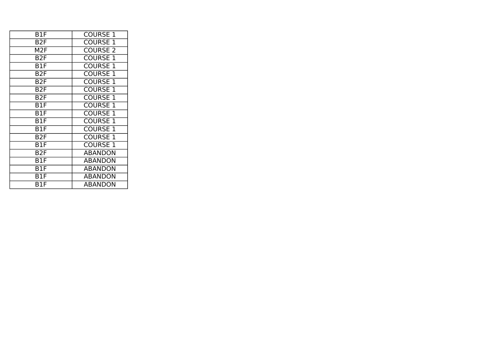| B1F              | <b>COURSE 1</b> |
|------------------|-----------------|
| B <sub>2F</sub>  | <b>COURSE 1</b> |
| M2F              | <b>COURSE 2</b> |
| B <sub>2F</sub>  | <b>COURSE 1</b> |
| B1F              | <b>COURSE 1</b> |
| B <sub>2</sub> F | <b>COURSE 1</b> |
| B <sub>2F</sub>  | <b>COURSE 1</b> |
| B <sub>2F</sub>  | <b>COURSE 1</b> |
| B2F              | <b>COURSE 1</b> |
| B1F              | <b>COURSE 1</b> |
| B1F              | <b>COURSE 1</b> |
| B1F              | <b>COURSE 1</b> |
| B1F              | <b>COURSE 1</b> |
| B <sub>2F</sub>  | <b>COURSE 1</b> |
| B1F              | <b>COURSE 1</b> |
| B <sub>2F</sub>  | <b>ABANDON</b>  |
| B1F              | <b>ABANDON</b>  |
| B1F              | <b>ABANDON</b>  |
| B1F              | <b>ABANDON</b>  |
| B1F              | <b>ABANDON</b>  |
|                  |                 |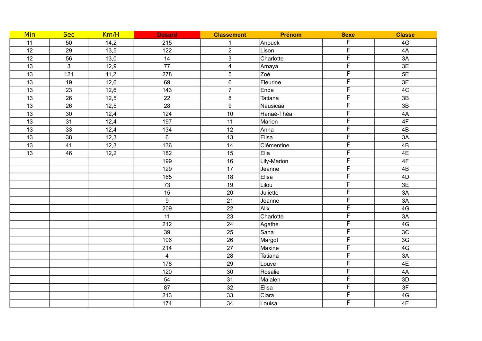| Min             | <b>Sec</b>   | Km/H | <b>Dosard</b>    | <b>Classement</b>       | Prénom      | <b>Sexe</b>             | <b>Classe</b>   |
|-----------------|--------------|------|------------------|-------------------------|-------------|-------------------------|-----------------|
| 11              | 50           | 14,2 | 215              | $\mathbf{1}$            | Anouck      | F                       | $4\,\mathrm{G}$ |
| 12              | 29           | 13,5 | 122              | $\overline{2}$          | Lison       | $\overline{F}$          | 4A              |
| 12              | 56           | 13,0 | 14               | 3                       | Charlotte   | $\overline{F}$          | 3A              |
| 13              | $\mathbf{3}$ | 12,9 | $\overline{77}$  | $\overline{\mathbf{4}}$ | Amaya       | $\overline{F}$          | 3E              |
| 13              | 121          | 11,2 | 278              | 5                       | Zoé         | $\overline{F}$          | 5E              |
| 13              | 19           | 12,6 | 69               | $\,6\,$                 | Fleurine    | F                       | 3E              |
| $\overline{13}$ | 23           | 12,6 | $\overline{143}$ | $\overline{7}$          | Enda        | F                       | 4C              |
| 13              | 26           | 12,5 | 22               | $\bf 8$                 | Tatiana     | F                       | 3B              |
| 13              | 26           | 12,5 | 28               | $\boldsymbol{9}$        | Nausicaä    | F                       | 3B              |
| 13              | 30           | 12,4 | 124              | $10$                    | Hanaé-Théa  | F                       | 4A              |
| 13              | 31           | 12,4 | 197              | 11                      | Marion      | F                       | 4F              |
| 13              | 33           | 12,4 | 134              | 12                      | Anna        | $\overline{\mathsf{F}}$ | 4B              |
| 13              | 38           | 12,3 | 6                | 13                      | Elisa       | F                       | 3A              |
| 13              | 41           | 12,3 | 136              | 14                      | Clémentine  | F                       | 4B              |
| 13              | 46           | 12,2 | 182              | 15                      | Ella        | $\overline{\mathsf{F}}$ | 4E              |
|                 |              |      | 199              | 16                      | Lily-Marion | $\overline{\mathsf{F}}$ | 4F              |
|                 |              |      | 129              | 17                      | Jeanne      | $\overline{\mathsf{F}}$ | 4B              |
|                 |              |      | 165              | 18                      | Elisa       | F                       | 4D              |
|                 |              |      | 73               | 19                      | Lilou       | F                       | 3E              |
|                 |              |      | 15               | 20                      | Juliette    | $\overline{F}$          | 3A              |
|                 |              |      | 9                | 21                      | Jeanne      | F                       | 3A              |
|                 |              |      | 209              | 22                      | Alix        | F                       | 4G              |
|                 |              |      | 11               | 23                      | Charlotte   | F                       | 3A              |
|                 |              |      | 212              | 24                      | Agathe      | F                       | 4G              |
|                 |              |      | 39               | 25                      | Sana        | F                       | 3C              |
|                 |              |      | 106              | 26                      | Margot      | F                       | 3G              |
|                 |              |      | 214              | 27                      | Maxine      | F                       | 4G              |
|                 |              |      | $\overline{4}$   | 28                      | Tatiana     | F                       | 3A              |
|                 |              |      | 178              | 29                      | Louve       | F                       | 4E              |
|                 |              |      | 120              | $30\,$                  | Rosalie     | F                       | 4A              |
|                 |              |      | 54               | 31                      | Maialen     | $\overline{\mathsf{F}}$ | 3D              |
|                 |              |      | 87               | 32                      | Elisa       | $\overline{F}$          | 3F              |
|                 |              |      | 213              | 33                      | Clara       | F                       | 4G              |
|                 |              |      | 174              | 34                      | Louisa      | F                       | 4E              |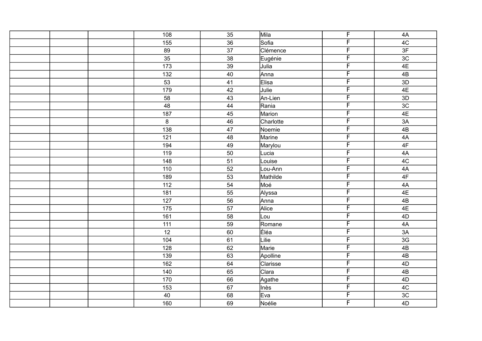|  | 108               | 35              | Mila      | $\overline{F}$          | 4A             |
|--|-------------------|-----------------|-----------|-------------------------|----------------|
|  | 155               | 36              | Sofia     | $\overline{F}$          | 4C             |
|  | 89                | $\overline{37}$ | Clémence  | F                       | 3F             |
|  | 35                | 38              | Eugénie   | $\overline{F}$          | 3 <sub>C</sub> |
|  | 173               | 39              | Julia     | $\overline{\mathsf{F}}$ | 4E             |
|  | 132               | 40              | Anna      | F                       | $4\mathsf{B}$  |
|  | 53                | $\overline{41}$ | Elisa     | F                       | 3D             |
|  | 179               | 42              | Julie     | $\overline{F}$          | 4E             |
|  | 58                | 43              | An-Lien   | $\overline{\mathsf{F}}$ | 3D             |
|  | 48                | 44              | Rania     | F                       | 3C             |
|  | 187               | 45              | Marion    | F                       | 4E             |
|  | $\bf 8$           | 46              | Charlotte | F                       | $3A$           |
|  | 138               | 47              | Noemie    | $\overline{\mathsf{F}}$ | 4B             |
|  | 121               | 48              | Marine    | $\overline{\mathsf{F}}$ | $4A$           |
|  | 194               | 49              | Marylou   | F                       | 4F             |
|  | 119               | 50              | Lucia     | $\overline{\mathsf{F}}$ | 4A             |
|  | 148               | 51              | Louise    | $\overline{\mathsf{F}}$ | 4C             |
|  | 110               | 52              | Lou-Ann   | F                       | $4A$           |
|  | 189               | 53              | Mathilde  | F                       | 4F             |
|  | 112               | 54              | Moé       | $\overline{F}$          | 4A             |
|  | 181               | 55              | Alyssa    | $\overline{\mathsf{F}}$ | 4E             |
|  | 127               | 56              | Anna      | $\overline{\mathsf{F}}$ | 4B             |
|  | 175               | 57              | Alice     | F                       | 4E             |
|  | 161               | 58              | Lou       | $\overline{\mathsf{F}}$ | 4D             |
|  | 111               | 59              | Romane    | F                       | 4A             |
|  | $\overline{12}$   | 60              | Éléa      | F                       | 3A             |
|  | 104               | 61              | Lilie     | F                       | 3G             |
|  | 128               | 62              | Marie     | $\overline{\mathsf{F}}$ | 4B             |
|  | 139               | 63              | Apolline  | $\overline{\mathsf{F}}$ | $4\mathsf{B}$  |
|  | $\frac{162}{162}$ | 64              | Clarisse  | F                       | 4D             |
|  | 140               | 65              | Clara     | F                       | 4B             |
|  | 170               | 66              | Agathe    | F                       | 4D             |
|  | 153               | 67              | Inès      | F                       | 4C             |
|  | 40                | 68              | Eva       | F                       | 3C             |
|  | 160               | 69              | Noélie    | F                       | 4D             |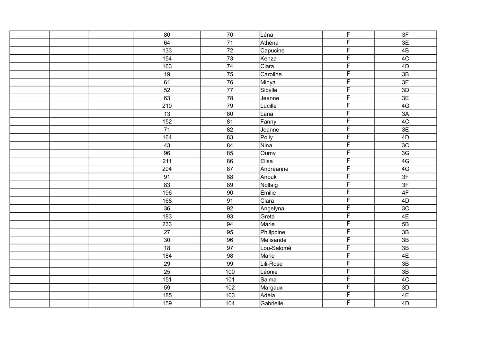| 80               | 70              | Léna       | $\overline{F}$          | 3F              |
|------------------|-----------------|------------|-------------------------|-----------------|
| 64               | 71              | Athéna     | F                       | 3E              |
| $\overline{133}$ | $\overline{72}$ | Capucine   | F                       | 4B              |
| 154              | 73              | Kenza      | $\overline{F}$          | 4C              |
| 163              | 74              | Clara      | $\overline{F}$          | 4D              |
| 19               | 75              | Caroline   | F                       | 3B              |
| 61               | $\overline{76}$ | Minya      | F                       | 3E              |
| 52               | 77              | Sibylle    | F                       | 3D              |
| 63               | 78              | Jeanne     | $\overline{\mathsf{F}}$ | 3E              |
| 210              | 79              | Lucille    | F                       | 4G              |
| 13               | 80              | Lana       | F                       | 3A              |
| 152              | 81              | Fanny      | F                       | 4C              |
| $\overline{71}$  | 82              | Jeanne     | $\overline{\mathsf{F}}$ | 3E              |
| 164              | 83              | Polly      | F                       | 4D              |
| 43               | 84              | Nina       | F                       | 3C              |
| 96               | 85              | Oumy       | F                       | 3G              |
| 211              | 86              | Elisa      | $\overline{\mathsf{F}}$ | 4G              |
| 204              | 87              | Andréanne  | F                       | 4G              |
| 91               | 88              | Anouk      | F                       | 3F              |
| 83               | 89              | Nollaig    | $\overline{\mathsf{F}}$ | 3F              |
| 196              | 90              | Emilie     | $\overline{\mathsf{F}}$ | 4F              |
| 168              | 91              | Clara      | F                       | 4D              |
| 36               | 92              | Angelyna   | F                       | 3 <sub>C</sub>  |
| 183              | 93              | Greta      | $\overline{\mathsf{F}}$ | 4E              |
| 233              | 94              | Marie      | F                       | 5B              |
| $\overline{27}$  | 95              | Philippine | $\overline{F}$          | 3B              |
| $30\,$           | 96              | Melisande  | F                       | 3B              |
| $\overline{18}$  | 97              | Lou-Salomé | $\overline{\mathsf{F}}$ | 3B              |
| 184              | 98              | Marie      | $\overline{\mathsf{F}}$ | 4E              |
| $\overline{29}$  | 99              | Lili-Rose  | F                       | $\overline{3B}$ |
| $\overline{25}$  | 100             | Léonie     | F                       | 3B              |
| 151              | 101             | Salma      | F                       | 4C              |
| 59               | 102             | Margaux    | F                       | 3D              |
| 185              | 103             | Adèla      | F                       | 4E              |
| 159              | 104             | Gabrielle  | F                       | 4D              |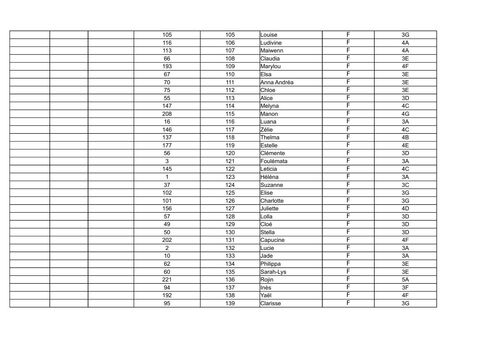| 105             | 105              | Louise       | $\overline{F}$ | 3G            |
|-----------------|------------------|--------------|----------------|---------------|
| 116             | 106              | Ludivine     | F              | 4A            |
| 113             | 107              | Maiwenn      | F              | 4A            |
| 66              | 108              | Claudia      | F              | 3E            |
| 193             | 109              | Marylou      | F              | 4F            |
| 67              | 110              | Elsa         | F              | 3E            |
| $\overline{70}$ | $\overline{111}$ | Anna Andréa  | F              | 3E            |
| 75              | 112              | Chloe        | F              | 3E            |
| $\overline{55}$ | 113              | Alice        | $\overline{F}$ | 3D            |
| 147             | 114              | Melyna       | F              | 4C            |
| 208             | 115              | Manon        | F              | 4G            |
| 16              | 116              | Luana        | F              | 3A            |
| 146             | 117              | Zélie        | F              | 4C            |
| 137             | 118              | Thelma       | F              | 4B            |
| $\frac{1}{177}$ | 119              | Estelle      | F              | 4E            |
| 56              | 120              | Clémente     | F              | 3D            |
| $\mathfrak{S}$  | 121              | Foulémata    | F              | 3A            |
| 145             | 122              | Leticia      | F              | 4C            |
| $\mathbf{1}$    | 123              | Héléna       | F              | 3A            |
| 37              | 124              | Suzanne      | F              | 3C            |
| 102             | 125              | <b>Elise</b> | F              | 3G            |
| 101             | 126              | Charlotte    | F              | 3G            |
| 156             | $127$            | Juliette     | F              | 4D            |
| 57              | 128              | Lolla        | F              | 3D            |
| 49              | 129              | Cloé         | F              | 3D            |
| 50              | 130              | Stella       | F              | 3D            |
| 202             | 131              | Capucine     | F              | 4F            |
| $\overline{2}$  | 132              | Lucie        | F              | 3A            |
| 10              | 133              | Jade         | F              | 3A            |
| 62              | 134              | Philippa     | F              | 3E            |
| 60              | 135              | Sarah-Lys    | F              | 3E            |
| 221             | 136              | Rojin        | F              | 5A            |
| 94              | 137              | Inès         | F              | 3F            |
| 192             | 138              | Yaël         | F              | $4\mathsf{F}$ |
| 95              | 139              | Clarisse     | F              | 3G            |
|                 |                  |              |                |               |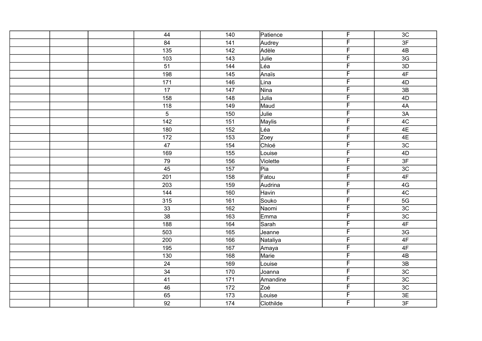| 44              | 140 | Patience      | $\overline{F}$          | 3C             |
|-----------------|-----|---------------|-------------------------|----------------|
| 84              | 141 | Audrey        | $\overline{F}$          | 3F             |
| 135             | 142 | Adèle         | F                       | 4B             |
| 103             | 143 | Julie         | F                       | 3G             |
| 51              | 144 | Léa           | F                       | 3D             |
| 198             | 145 | Anaïs         | F                       | 4F             |
| 171             | 146 | Lina          | F                       | 4D             |
| 17              | 147 | Nina          | F                       | 3B             |
| 158             | 148 | Julia         | F                       | 4D             |
| 118             | 149 | Maud          | F                       | 4A             |
| $\sqrt{5}$      | 150 | Julie         | F                       | 3A             |
| 142             | 151 | <b>Maylis</b> | F                       | 4C             |
| 180             | 152 | Léa           | F                       | 4E             |
| 172             | 153 | Zoey          | F                       | 4E             |
| 47              | 154 | Chloé         | F                       | 3C             |
| 169             | 155 | Louise        | F                       | 4D             |
| 79              | 156 | Violette      | $\overline{\mathsf{F}}$ | 3F             |
| 45              | 157 | Pia           | F                       | 3 <sub>C</sub> |
| 201             | 158 | Fatou         | F                       | 4F             |
| 203             | 159 | Audrina       | F                       | 4G             |
| 144             | 160 | Havin         | $\overline{\mathsf{F}}$ | 4C             |
| $\frac{1}{315}$ | 161 | Souko         | F                       | 5G             |
| 33              | 162 | Naomi         | F                       | 3C             |
| $\overline{38}$ | 163 | Emma          | F                       | 3C             |
| 188             | 164 | Sarah         | F                       | 4F             |
| 503             | 165 | Jeanne        | F                       | 3G             |
| 200             | 166 | Nataliya      | F                       | $4\mathsf{F}$  |
| 195             | 167 | Amaya         | F                       | 4F             |
| 130             | 168 | Marie         | F                       | 4B             |
| 24              | 169 | Louise        | F                       | 3B             |
| 34              | 170 | Joanna        | F                       | 3C             |
| 41              | 171 | Amandine      | F                       | 3C             |
| 46              | 172 | Zoé           | $\overline{F}$          | 3C             |
| 65              | 173 | Louise        | F                       | 3E             |
| 92              | 174 | Clothilde     | F                       | 3F             |
|                 |     |               |                         |                |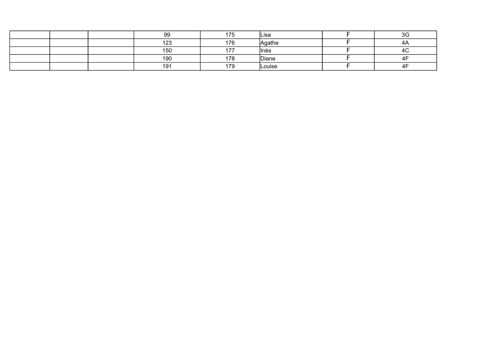|  | 99         | 175<br>7 J | lLisa  | $\Omega$<br>) J |
|--|------------|------------|--------|-----------------|
|  | $\sqrt{2}$ | 176        | Agathe | ΉΑ              |
|  | 150<br>טטו | 477        | llnès  | ᠇◡              |
|  | 190        | 178        | Diane  |                 |
|  | 404<br>ت ا | 170<br>ت ، | Louise |                 |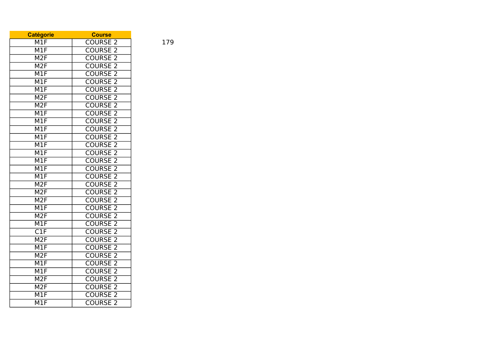| <b>Catégorie</b>          | <b>Course</b>                   |
|---------------------------|---------------------------------|
| M1F                       | <b>COURSE 2</b>                 |
| M1F                       | <b>COURSE</b><br>2              |
| M2F                       | <b>COURSE</b><br>$\overline{2}$ |
| $\overline{\text{M2F}}$   | <b>COURSE</b><br>$\overline{2}$ |
| M1F                       | <b>COURSE</b><br>$\overline{2}$ |
| M1F                       | <b>COURSE 2</b>                 |
| M1F                       | $\overline{2}$<br><b>COURSE</b> |
| M2F                       | $\overline{2}$<br><b>COURSE</b> |
| M2F                       | <b>COURSE 2</b>                 |
| M1F                       | <b>COURSE</b><br>$\overline{2}$ |
| $\overline{\mathsf{M1F}}$ | $\overline{2}$<br><b>COURSE</b> |
| $\overline{\sf M1F}$      | <b>COURSE 2</b>                 |
| $\overline{\mathsf{M1F}}$ | $\overline{2}$<br><b>COURSE</b> |
| M1F                       | $\overline{2}$<br><b>COURSE</b> |
| $\overline{\mathsf{M1F}}$ | <b>COURSE</b><br>$\overline{2}$ |
| $\overline{\mathsf{M1F}}$ | <b>COURSE</b><br>$\overline{2}$ |
| M1F                       | <b>COURSE</b><br>$\overline{2}$ |
| M1F                       | <b>COURSE</b><br>$\overline{2}$ |
| M2F                       | <b>COURSE 2</b>                 |
| M2F                       | $\overline{2}$<br><b>COURSE</b> |
| M2F                       | $\overline{2}$<br><b>COURSE</b> |
| M1F                       | <b>COURSE</b><br>$\overline{2}$ |
| M2F                       | <b>COURSE</b><br>$\overline{2}$ |
| M1F                       | <b>COURSE</b><br>$\overline{2}$ |
| $\overline{\text{C1F}}$   | $\overline{2}$<br><b>COURSE</b> |
| M2F                       | $\overline{2}$<br><b>COURSE</b> |
| $\overline{\sf M1F}$      | $\overline{2}$<br><b>COURSE</b> |
| M2F                       | <b>COURSE</b><br>$\overline{2}$ |
| $\overline{\sf M1F}$      | <b>COURSE</b><br>$\overline{2}$ |
| M1F                       | <b>COURSE</b><br>$\overline{2}$ |
| M2F                       | <b>COURSE</b><br>$\overline{2}$ |
| $\overline{\text{M2F}}$   | $\overline{2}$<br><b>COURSE</b> |
| M1F                       | $\overline{2}$<br><b>COURSE</b> |
| M1F                       | <b>COURSE</b><br>$\overline{2}$ |

179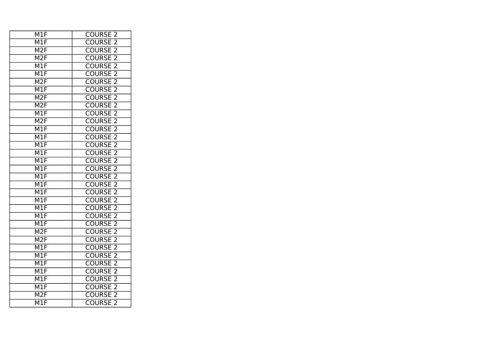| M1F                       | <b>COURSE 2</b>                 |
|---------------------------|---------------------------------|
| M1F                       | <b>COURSE</b><br>2              |
| M2F                       | <b>COURSE 2</b>                 |
| M2F                       | <b>COURSE 2</b>                 |
| M1F                       | <b>COURSE 2</b>                 |
| $\overline{\mathsf{M1F}}$ | <b>COURSE 2</b>                 |
| M2F                       | $\overline{2}$<br><b>COURSE</b> |
| M1F                       | $\overline{2}$<br><b>COURSE</b> |
| M2F                       | <b>COURSE</b><br>$\overline{2}$ |
| M2F                       | <b>COURSE 2</b>                 |
| $\overline{\text{M1F}}$   | <b>COURSE 2</b>                 |
| M2F                       | <b>COURSE</b><br>$\overline{2}$ |
| M1F                       | $\overline{2}$<br><b>COURSE</b> |
| $\overline{\mathsf{M1F}}$ | $\overline{2}$<br><b>COURSE</b> |
| M1F                       | $\overline{2}$<br><b>COURSE</b> |
| M1F                       | $\overline{2}$<br><b>COURSE</b> |
| M1F                       | <b>COURSE</b><br>$\overline{2}$ |
| M1F                       | <b>COURSE 2</b>                 |
| M1F                       | <b>COURSE 2</b>                 |
| M1F                       | <b>COURSE</b><br>$\overline{2}$ |
| M1F                       | <b>COURSE 2</b>                 |
| M1F                       | $\overline{2}$<br><b>COURSE</b> |
| $\overline{\text{M1F}}$   | $\overline{2}$<br><b>COURSE</b> |
| M1F                       | <b>COURSE</b><br>$\overline{2}$ |
| M1F                       | <b>COURSE 2</b>                 |
| M2F                       | <b>COURSE 2</b>                 |
| M2F                       | <b>COURSE</b><br>$\overline{2}$ |
| M1F                       | $\overline{2}$<br><b>COURSE</b> |
| $\overline{\mathsf{M1F}}$ | $\overline{2}$<br><b>COURSE</b> |
| M1F                       | $\overline{2}$<br><b>COURSE</b> |
| $\overline{\sf M1F}$      | <b>COURSE</b><br>$\overline{2}$ |
| $\overline{\mathsf{M1F}}$ | <b>COURSE</b><br>$\overline{2}$ |
| M1F                       | <b>COURSE 2</b>                 |
| M2F                       | <b>COURSE 2</b>                 |
| $\overline{\mathsf{M1F}}$ | <b>COURSE</b><br>$\overline{2}$ |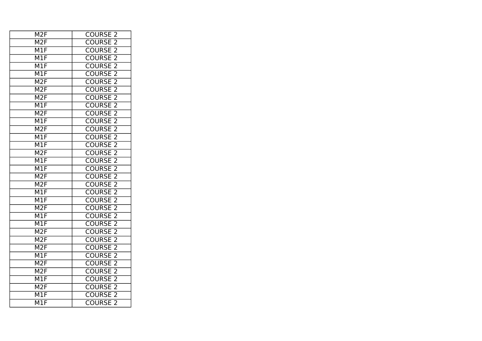| <b>COURSE 2</b>                 |
|---------------------------------|
| <b>COURSE</b><br>-2             |
| <b>COURSE 2</b>                 |
| <b>COURSE 2</b>                 |
| <b>COURSE 2</b>                 |
| <b>COURSE 2</b>                 |
| $\overline{2}$<br><b>COURSE</b> |
| $\overline{2}$<br><b>COURSE</b> |
| <b>COURSE</b><br>$\overline{c}$ |
| <b>COURSE 2</b>                 |
| <b>COURSE 2</b>                 |
| <b>COURSE</b><br>$\overline{2}$ |
| <b>COURSE 2</b>                 |
| $\overline{2}$<br><b>COURSE</b> |
| $\overline{2}$<br><b>COURSE</b> |
| $\overline{2}$<br><b>COURSE</b> |
| <b>COURSE</b><br>$\overline{2}$ |
| <b>COURSE 2</b>                 |
| <b>COURSE 2</b>                 |
| <b>COURSE</b><br>$\overline{2}$ |
| <b>COURSE 2</b>                 |
| <b>COURSE</b><br>$\overline{2}$ |
| $\overline{2}$<br><b>COURSE</b> |
| <b>COURSE</b><br>$\overline{c}$ |
| <b>COURSE 2</b>                 |
| <b>COURSE 2</b>                 |
| <b>COURSE</b><br>$\overline{2}$ |
| $\overline{2}$<br><b>COURSE</b> |
| $\overline{2}$<br><b>COURSE</b> |
| $\overline{2}$<br><b>COURSE</b> |
| <b>COURSE</b><br>$\overline{2}$ |
| <b>COURSE</b><br>$\overline{2}$ |
| <b>COURSE 2</b>                 |
| <b>COURSE 2</b>                 |
| <b>COURSE</b><br>$\overline{2}$ |
|                                 |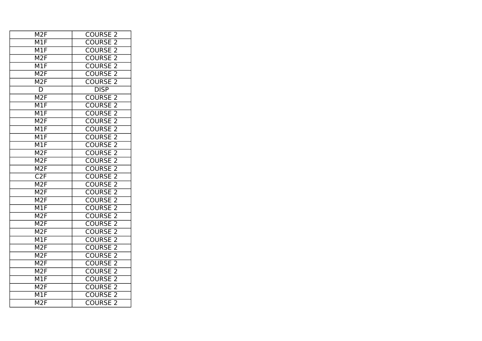| <b>COURSE 2</b>                 |
|---------------------------------|
| <b>COURSE</b><br>2              |
| <b>COURSE 2</b>                 |
| <b>COURSE 2</b>                 |
| <b>COURSE 2</b>                 |
| <b>COURSE 2</b>                 |
| <b>COURSE 2</b>                 |
| <b>DISP</b>                     |
| <b>COURSE 2</b>                 |
| <b>COURSE 2</b>                 |
| <b>COURSE 2</b>                 |
| <b>COURSE</b><br>$\overline{2}$ |
| <b>COURSE</b><br>$\overline{2}$ |
| $\overline{2}$<br><b>COURSE</b> |
| $\overline{2}$<br><b>COURSE</b> |
| $\overline{2}$<br><b>COURSE</b> |
| <b>COURSE</b><br>2              |
| <b>COURSE 2</b>                 |
| <b>COURSE</b><br>$\overline{2}$ |
| <b>COURSE</b><br>$\overline{2}$ |
| <b>COURSE 2</b>                 |
| $\overline{2}$<br><b>COURSE</b> |
| <b>COURSE 2</b>                 |
| <b>COURSE</b><br>$\overline{c}$ |
| <b>COURSE 2</b>                 |
| <b>COURSE 2</b>                 |
| <b>COURSE</b><br>$\overline{2}$ |
| <b>COURSE</b><br>$\overline{2}$ |
| $\overline{2}$<br><b>COURSE</b> |
| $\overline{2}$<br><b>COURSE</b> |
| <b>COURSE</b><br>$\overline{2}$ |
| <b>COURSE</b><br>$\overline{2}$ |
| <b>COURSE 2</b>                 |
| <b>COURSE 2</b>                 |
| <b>COURSE</b><br>$\overline{2}$ |
|                                 |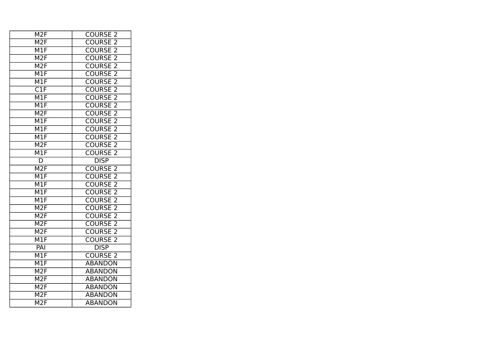| M <sub>2</sub> F          | <b>COURSE 2</b>                 |
|---------------------------|---------------------------------|
| M <sub>2F</sub>           | <b>COURSE 2</b>                 |
| M1F                       | <b>COURSE 2</b>                 |
| M2F                       | <b>COURSE 2</b>                 |
| M2F                       | <b>COURSE 2</b>                 |
| $\overline{\mathsf{M1F}}$ | <b>COURSE 2</b>                 |
| M1F                       | <b>COURSE 2</b>                 |
| $\overline{\text{C1F}}$   | $\overline{2}$<br><b>COURSE</b> |
| M1F                       | <b>COURSE</b><br>$\overline{2}$ |
| M1F                       | <b>COURSE 2</b>                 |
| M <sub>2F</sub>           | <b>COURSE 2</b>                 |
| M1F                       | $\overline{2}$<br><b>COURSE</b> |
| M1F                       | COURSE <sub>2</sub>             |
| $\overline{\mathsf{M1F}}$ | <b>COURSE 2</b>                 |
| M2F                       | COURSE <sub>2</sub>             |
| M1F                       | <b>COURSE</b><br>2              |
| D                         | <b>DISP</b>                     |
| M <sub>2F</sub>           | <b>COURSE 2</b>                 |
| M1F                       | <b>COURSE 2</b>                 |
| M1F                       | <b>COURSE 2</b>                 |
| M1F                       | <b>COURSE 2</b>                 |
| M1F                       | <b>COURSE 2</b>                 |
| M2F                       | <b>COURSE 2</b>                 |
| M2F                       | <b>COURSE</b><br>$\overline{c}$ |
| M2F                       | <b>COURSE 2</b>                 |
| M2F                       | <b>COURSE 2</b>                 |
| M1F                       | <b>COURSE</b><br>$\overline{2}$ |
| PAI                       | <b>DISP</b>                     |
| $\overline{\mathsf{M1F}}$ | <b>COURSE 2</b>                 |
| M1F                       | <b>ABANDON</b>                  |
| M2F                       | <b>ABANDON</b>                  |
| M2F                       | <b>ABANDON</b>                  |
| M <sub>2F</sub>           | <b>ABANDON</b>                  |
| M2F                       | <b>ABANDON</b>                  |
| M2F                       | <b>ABANDON</b>                  |
|                           |                                 |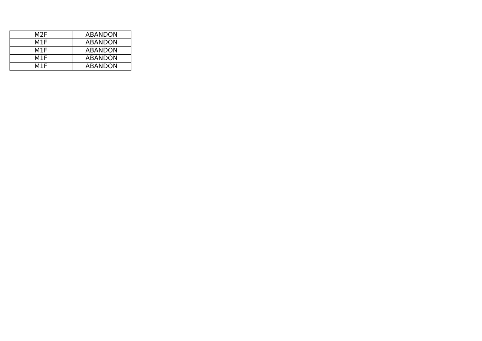| M2F | <b>ABANDON</b> |
|-----|----------------|
| M1F | ABANDON        |
| M1F | <b>ABANDON</b> |
| M1F | <b>ABANDON</b> |
| M1F | <b>ABANDON</b> |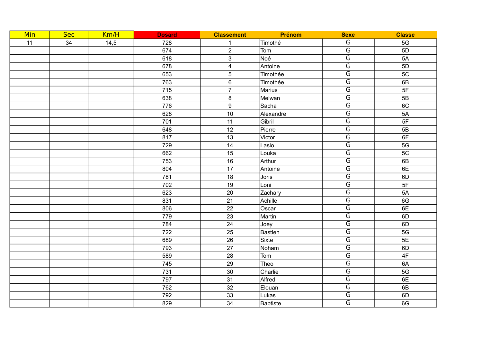| <b>Min</b> | <b>Sec</b> | Km/H | <b>Dosard</b> | <b>Classement</b>       | Prénom          | <b>Sexe</b>             | <b>Classe</b> |
|------------|------------|------|---------------|-------------------------|-----------------|-------------------------|---------------|
| 11         | 34         | 14,5 | 728           | $\mathbf{1}$            | Timothé         | G                       | $5G$          |
|            |            |      | 674           | $\overline{2}$          | Tom             | $\overline{\mathsf{G}}$ | 5D            |
|            |            |      | 618           | $\mathbf{3}$            | Noé             | $\overline{\mathsf{G}}$ | 5A            |
|            |            |      | 678           | $\overline{\mathbf{4}}$ | Antoine         | $\overline{\mathsf{G}}$ | 5D            |
|            |            |      | 653           | $\sqrt{5}$              | Timothée        | $\overline{\mathsf{G}}$ | 5C            |
|            |            |      | 763           | $\,6\,$                 | Timothée        | $\overline{\mathsf{G}}$ | 6B            |
|            |            |      | 715           | $\overline{7}$          | Marius          | $\overline{\mathsf{G}}$ | 5F            |
|            |            |      | 638           | $\bf 8$                 | Melwan          | $\overline{\mathsf{G}}$ | 5B            |
|            |            |      | 776           | $\boldsymbol{9}$        | Sacha           | $\overline{\mathsf{G}}$ | 6C            |
|            |            |      | 628           | 10                      | Alexandre       | $\overline{G}$          | 5A            |
|            |            |      | 701           | 11                      | Gibril          | $\overline{\mathsf{G}}$ | 5F            |
|            |            |      | 648           | 12                      | Pierre          | $\overline{\mathsf{G}}$ | 5B            |
|            |            |      | 817           | 13                      | Victor          | $\overline{\mathsf{G}}$ | 6F            |
|            |            |      | 729           | 14                      | Laslo           | $\overline{\mathsf{G}}$ | 5G            |
|            |            |      | 662           | 15                      | Louka           | $\overline{\mathsf{G}}$ | 5C            |
|            |            |      | 753           | 16                      | Arthur          | $\overline{\mathsf{G}}$ | 6B            |
|            |            |      | 804           | 17                      | Antoine         | $\overline{\mathsf{G}}$ | 6E            |
|            |            |      | 781           | 18                      | Joris           | $\overline{\mathsf{G}}$ | 6D            |
|            |            |      | 702           | 19                      | Loni            | $\overline{\mathsf{G}}$ | 5F            |
|            |            |      | 623           | 20                      | Zachary         | $\overline{\mathsf{G}}$ | 5A            |
|            |            |      | 831           | 21                      | Achille         | $\overline{\mathsf{G}}$ | 6G            |
|            |            |      | 806           | 22                      | Oscar           | $\overline{\mathsf{G}}$ | 6E            |
|            |            |      | 779           | 23                      | Martin          | $\overline{\mathsf{G}}$ | 6D            |
|            |            |      | 784           | 24                      | Joey            | $\overline{\mathsf{G}}$ | 6D            |
|            |            |      | 722           | 25                      | <b>Bastien</b>  | $\overline{G}$          | 5G            |
|            |            |      | 689           | 26                      | Sixte           | $\overline{\mathsf{G}}$ | 5E            |
|            |            |      | 793           | 27                      | Noham           | $\overline{\mathsf{G}}$ | 6D            |
|            |            |      | 589           | 28                      | Tom             | $\overline{\mathsf{G}}$ | 4F            |
|            |            |      | 745           | 29                      | Theo            | $\overline{G}$          | 6A            |
|            |            |      | 731           | $30\,$                  | Charlie         | $\overline{\mathsf{G}}$ | 5G            |
|            |            |      | 797           | 31                      | Alfred          | $\overline{\mathsf{G}}$ | 6E            |
|            |            |      | 762           | 32                      | Elouan          | $\overline{G}$          | 6B            |
|            |            |      | 792           | 33                      | Lukas           | $\overline{\mathsf{G}}$ | 6D            |
|            |            |      | 829           | 34                      | <b>Baptiste</b> | $\overline{\mathsf{G}}$ | 6G            |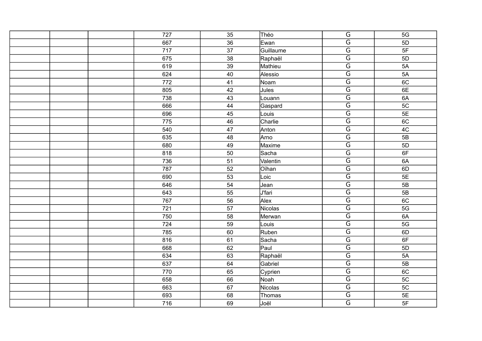|  | 727              | 35              | Théo      | $\overline{\mathsf{G}}$ | 5G         |
|--|------------------|-----------------|-----------|-------------------------|------------|
|  | 667              | 36              | Ewan      | $\overline{\mathsf{G}}$ | 5D         |
|  | 717              | $\overline{37}$ | Guillaume | $\overline{G}$          | 5F         |
|  | 675              | 38              | Raphaël   | $\overline{\mathsf{G}}$ | 5D         |
|  | 619              | 39              | Mathieu   | $\overline{\mathsf{G}}$ | 5A         |
|  | 624              | 40              | Alessio   | $\overline{\mathsf{G}}$ | 5A         |
|  | $\overline{772}$ | $\overline{41}$ | Noam      | $\overline{\mathsf{G}}$ | 6C         |
|  | 805              | 42              | Jules     | $\overline{\mathsf{G}}$ | 6E         |
|  | 738              | 43              | Louann    | $\overline{\mathsf{G}}$ | 6A         |
|  | 666              | 44              | Gaspard   | $\overline{\mathsf{G}}$ | 5C         |
|  | 696              | 45              | Louis     | $\overline{\mathsf{G}}$ | 5E         |
|  | 775              | 46              | Charlie   | $\overline{\mathsf{G}}$ | 6C         |
|  | 540              | 47              | Anton     | $\overline{\mathsf{G}}$ | 4C         |
|  | 635              | 48              | Arno      | $\overline{\mathsf{G}}$ | 5B         |
|  | 680              | 49              | Maxime    | $\overline{\mathsf{G}}$ | 5D         |
|  | 818              | 50              | Sacha     | $\overline{\mathsf{G}}$ | 6F         |
|  | 736              | 51              | Valentin  | $\overline{\mathsf{G}}$ | 6A         |
|  | 787              | 52              | Oïhan     | $\overline{\mathsf{G}}$ | 6D         |
|  | 690              | 53              | Loic      | $\overline{\mathsf{G}}$ | 5E         |
|  | 646              | 54              | Jean      | $\overline{\mathsf{G}}$ | 5B         |
|  | 643              | 55              | U'fari    | $\overline{\mathsf{G}}$ | 5B         |
|  | 767              | 56              | Alex      | $\overline{\mathsf{G}}$ | 6C         |
|  | 721              | 57              | Nicolas   | $\overline{G}$          | 5G         |
|  | 750              | 58              | Merwan    | $\overline{\mathsf{G}}$ | 6A         |
|  | 724              | 59              | Louis     | $\overline{\mathsf{G}}$ | $5G$       |
|  | 785              | 60              | Ruben     | $\overline{G}$          | 6D         |
|  | 816              | 61              | Sacha     | $\overline{\mathsf{G}}$ | 6F         |
|  | 668              | 62              | Paul      | $\overline{\mathsf{G}}$ | 5D         |
|  | 634              | 63              | Raphaël   | $\overline{\mathsf{G}}$ | 5A         |
|  | 637              | 64              | Gabriel   | $\overline{G}$          | 5B         |
|  | 770              | 65              | Cyprien   | $\overline{\mathsf{G}}$ | 6C         |
|  | 658              | 66              | Noah      | $\overline{\mathsf{G}}$ | $5{\rm C}$ |
|  | 663              | 67              | Nicolas   | $\overline{\mathsf{G}}$ | 5C         |
|  | 693              | 68              | Thomas    | $\overline{G}$          | 5E         |
|  | 716              | 69              | Joël      | $\overline{\mathsf{G}}$ | 5F         |
|  |                  |                 |           |                         |            |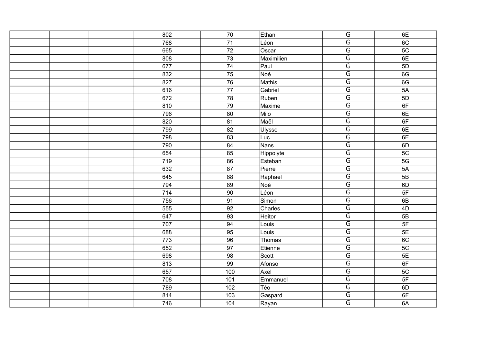|  | 802 | $70\,$          | Ethan         | $\overline{\mathsf{G}}$ | 6E   |
|--|-----|-----------------|---------------|-------------------------|------|
|  | 768 | 71              | Léon          | $\overline{\mathsf{G}}$ | 6C   |
|  | 665 | 72              | Oscar         | $\overline{G}$          | 5C   |
|  | 808 | 73              | Maximilien    | $\overline{\mathsf{G}}$ | 6E   |
|  | 677 | 74              | Paul          | $\overline{\mathsf{G}}$ | 5D   |
|  | 832 | 75              | Noé           | $\overline{\mathsf{G}}$ | 6G   |
|  | 827 | $\overline{76}$ | Mathis        | $\overline{\mathsf{G}}$ | 6G   |
|  | 616 | 77              | Gabriel       | $\overline{\mathsf{G}}$ | 5A   |
|  | 672 | 78              | Ruben         | $\overline{\mathsf{G}}$ | 5D   |
|  | 810 | 79              | Maxime        | $\overline{\mathsf{G}}$ | 6F   |
|  | 796 | 80              | Milo          | $\overline{\mathsf{G}}$ | 6E   |
|  | 820 | 81              | Maël          | $\overline{\mathsf{G}}$ | 6F   |
|  | 799 | 82              | <b>Ulysse</b> | $\overline{\mathsf{G}}$ | 6E   |
|  | 798 | 83              | Luc           | $\overline{\mathsf{G}}$ | 6E   |
|  | 790 | 84              | Nans          | $\overline{\mathsf{G}}$ | 6D   |
|  | 654 | 85              | Hippolyte     | $\overline{\mathsf{G}}$ | 5C   |
|  | 719 | 86              | Esteban       | $\overline{\mathsf{G}}$ | 5G   |
|  | 632 | 87              | Pierre        | $\overline{\mathsf{G}}$ | 5A   |
|  | 645 | 88              | Raphaël       | $\overline{\mathsf{G}}$ | 5B   |
|  | 794 | 89              | Noé           | $\overline{\mathsf{G}}$ | 6D   |
|  | 714 | 90              | Léon          | $\overline{\mathsf{G}}$ | 5F   |
|  | 756 | 91              | Simon         | $\overline{\mathsf{G}}$ | 6B   |
|  | 555 | 92              | Charles       | $\overline{G}$          | 4D   |
|  | 647 | 93              | Heitor        | $\overline{\mathsf{G}}$ | 5B   |
|  | 707 | 94              | Louis         | $\overline{\mathsf{G}}$ | $5F$ |
|  | 688 | 95              | Louis         | $\overline{G}$          | 5E   |
|  | 773 | 96              | Thomas        | $\overline{\mathsf{G}}$ | 6C   |
|  | 652 | 97              | Etienne       | $\overline{\mathsf{G}}$ | 5C   |
|  | 698 | 98              | Scott         | $\overline{\mathsf{G}}$ | 5E   |
|  | 813 | 99              | Afonso        | $\overline{G}$          | 6F   |
|  | 657 | 100             | Axel          | $\overline{\mathsf{G}}$ | 5C   |
|  | 708 | 101             | Emmanuel      | $\overline{\mathsf{G}}$ | 5F   |
|  | 789 | 102             | Téo           | $\overline{\mathsf{G}}$ | 6D   |
|  | 814 | 103             | Gaspard       | $\overline{G}$          | 6F   |
|  | 746 | 104             | Rayan         | $\overline{\mathsf{G}}$ | 6A   |
|  |     |                 |               |                         |      |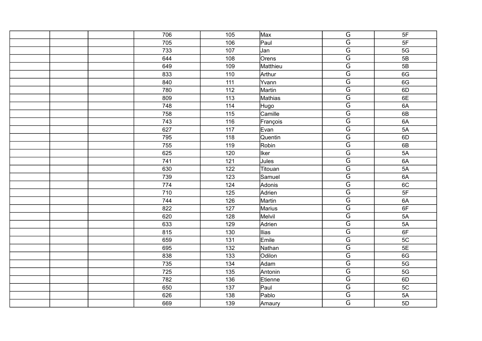| 706 | 105 | Max           | $\overline{\mathsf{G}}$ | 5F |
|-----|-----|---------------|-------------------------|----|
| 705 | 106 | Paul          | $\overline{\mathsf{G}}$ | 5F |
| 733 | 107 | Jan           | $\overline{G}$          | 5G |
| 644 | 108 | Orens         | $\overline{\mathsf{G}}$ | 5B |
| 649 | 109 | Matthieu      | $\overline{\mathsf{G}}$ | 5B |
| 833 | 110 | Arthur        | $\overline{\mathsf{G}}$ | 6G |
| 840 | 111 | Yvann         | $\overline{G}$          | 6G |
| 780 | 112 | Martin        | $\overline{\mathsf{G}}$ | 6D |
| 809 | 113 | Mathias       | $\overline{\mathsf{G}}$ | 6E |
| 748 | 114 | Hugo          | $\overline{\mathsf{G}}$ | 6A |
| 758 | 115 | Camille       | $\overline{\mathsf{G}}$ | 6B |
| 743 | 116 | François      | $\overline{\mathsf{G}}$ | 6A |
| 627 | 117 | Evan          | $\overline{\mathsf{G}}$ | 5A |
| 795 | 118 | Quentin       | $\overline{\mathsf{G}}$ | 6D |
| 755 | 119 | Robin         | $\overline{G}$          | 6B |
| 625 | 120 | <b>Iker</b>   | $\overline{\mathsf{G}}$ | 5A |
| 741 | 121 | Jules         | $\overline{\mathsf{G}}$ | 6A |
| 630 | 122 | Titouan       | $\overline{\mathsf{G}}$ | 5A |
| 739 | 123 | Samuel        | $\overline{G}$          | 6A |
| 774 | 124 | Adonis        | $\overline{\mathsf{G}}$ | 6C |
| 710 | 125 | Adrien        | $\overline{\mathsf{G}}$ | 5F |
| 744 | 126 | Martin        | $\overline{G}$          | 6A |
| 822 | 127 | <b>Marius</b> | $\overline{G}$          | 6F |
| 620 | 128 | Melvil        | $\overline{\mathsf{G}}$ | 5A |
| 633 | 129 | Adrien        | $\overline{\mathsf{G}}$ | 5A |
| 815 | 130 | <b>Ilias</b>  | $\overline{\mathsf{G}}$ | 6F |
| 659 | 131 | Emile         | $\overline{G}$          | 5C |
| 695 | 132 | Nathan        | $\overline{\mathsf{G}}$ | 5E |
| 838 | 133 | Odilon        | $\overline{\mathsf{G}}$ | 6G |
| 735 | 134 | Adam          | $\overline{G}$          | 5G |
| 725 | 135 | Antonin       | $\overline{G}$          | 5G |
| 782 | 136 | Etienne       | $\overline{\mathsf{G}}$ | 6D |
| 650 | 137 | Paul          | $\overline{\mathsf{G}}$ | 5C |
| 626 | 138 | Pablo         | $\overline{G}$          | 5A |
| 669 | 139 | Amaury        | $\overline{\mathsf{G}}$ | 5D |
|     |     |               |                         |    |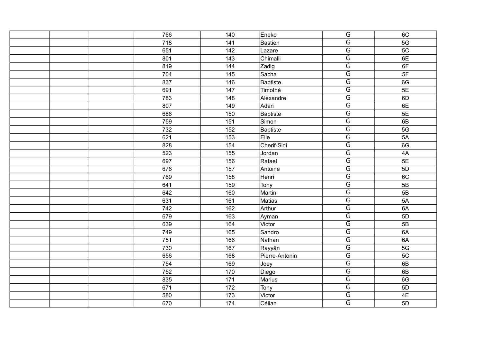|  | 766 | 140 | Eneko           | $\overline{G}$          | 6C   |
|--|-----|-----|-----------------|-------------------------|------|
|  | 718 | 141 | <b>Bastien</b>  | $\overline{\mathsf{G}}$ | 5G   |
|  | 651 | 142 | Lazare          | $\overline{\mathsf{G}}$ | 5C   |
|  | 801 | 143 | Chimalli        | $\overline{\mathsf{G}}$ | 6E   |
|  | 819 | 144 | Zadig           | $\overline{\mathsf{G}}$ | 6F   |
|  | 704 | 145 | Sacha           | $\overline{\mathsf{G}}$ | 5F   |
|  | 837 | 146 | <b>Baptiste</b> | $\overline{\mathsf{G}}$ | 6G   |
|  | 691 | 147 | Timothé         | $\overline{\mathsf{G}}$ | 5E   |
|  | 783 | 148 | Alexandre       | $\overline{\mathsf{G}}$ | 6D   |
|  | 807 | 149 | Adan            | $\overline{\mathsf{G}}$ | 6E   |
|  | 686 | 150 | <b>Baptiste</b> | $\overline{\mathsf{G}}$ | 5E   |
|  | 759 | 151 | Simon           | $\overline{G}$          | 6B   |
|  | 732 | 152 | <b>Baptiste</b> | $\overline{\mathsf{G}}$ | 5G   |
|  | 621 | 153 | Elie            | $\overline{\mathsf{G}}$ | 5A   |
|  | 828 | 154 | Cherif-Sidi     | $\overline{G}$          | 6G   |
|  | 523 | 155 | Jordan          | $\overline{\mathsf{G}}$ | $4A$ |
|  | 697 | 156 | Rafael          | $\overline{\mathsf{G}}$ | 5E   |
|  | 676 | 157 | Antoine         | $\overline{\mathsf{G}}$ | 5D   |
|  | 769 | 158 | Henri           | $\overline{G}$          | 6C   |
|  | 641 | 159 | Tony            | $\overline{\mathsf{G}}$ | 5B   |
|  | 642 | 160 | Martin          | $\overline{\mathsf{G}}$ | 5B   |
|  | 631 | 161 | <b>Matias</b>   | $\overline{G}$          | 5A   |
|  | 742 | 162 | Arthur          | $\overline{\mathsf{G}}$ | 6A   |
|  | 679 | 163 | Ayman           | $\overline{\mathsf{G}}$ | 5D   |
|  | 639 | 164 | Victor          | $\overline{\mathsf{G}}$ | 5B   |
|  | 749 | 165 | Sandro          | $\overline{G}$          | 6A   |
|  | 751 | 166 | Nathan          | $\overline{\mathsf{G}}$ | 6A   |
|  | 730 | 167 | Rayyân          | $\overline{\mathsf{G}}$ | 5G   |
|  | 656 | 168 | Pierre-Antonin  | $\overline{\mathsf{G}}$ | 5C   |
|  | 754 | 169 | Joey            | $\overline{G}$          | 6B   |
|  | 752 | 170 | Diego           | $\overline{\mathsf{G}}$ | 6B   |
|  | 835 | 171 | <b>Marius</b>   | $\overline{\mathsf{G}}$ | 6G   |
|  | 671 | 172 | <b>Tony</b>     | $\overline{\mathsf{G}}$ | 5D   |
|  | 580 | 173 | Victor          | $\overline{G}$          | 4E   |
|  | 670 | 174 | Célian          | $\overline{\mathsf{G}}$ | 5D   |
|  |     |     |                 |                         |      |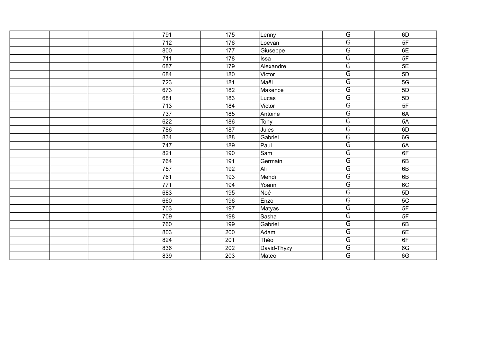| 791 | 175 | _enny       | $\overline{G}$          | 6D |
|-----|-----|-------------|-------------------------|----|
| 712 | 176 | _oevan      | $\overline{\mathsf{G}}$ | 5F |
| 800 | 177 | Giuseppe    | $\overline{\mathsf{G}}$ | 6E |
| 711 | 178 | Issa        | $\overline{\mathsf{G}}$ | 5F |
| 687 | 179 | Alexandre   | $\overline{\mathsf{G}}$ | 5E |
| 684 | 180 | Victor      | $\overline{\mathsf{G}}$ | 5D |
| 723 | 181 | ∣Maël       | $\overline{\mathsf{G}}$ | 5G |
| 673 | 182 | Maxence     | $\overline{\mathsf{G}}$ | 5D |
| 681 | 183 | Lucas       | $\overline{G}$          | 5D |
| 713 | 184 | Victor      | $\overline{\mathsf{G}}$ | 5F |
| 737 | 185 | Antoine     | $\overline{\mathsf{G}}$ | 6A |
| 622 | 186 | Tony        | $\overline{G}$          | 5A |
| 786 | 187 | Jules       | $\overline{\mathsf{G}}$ | 6D |
| 834 | 188 | Gabriel     | $\overline{\mathsf{G}}$ | 6G |
| 747 | 189 | Paul        | $\overline{G}$          | 6A |
| 821 | 190 | lSam        | $\overline{\mathsf{G}}$ | 6F |
| 764 | 191 | Germain     | $\overline{\mathsf{G}}$ | 6B |
| 757 | 192 | Ali         | $\overline{\mathsf{G}}$ | 6B |
| 761 | 193 | Mehdi       | $\overline{\mathsf{G}}$ | 6B |
| 771 | 194 | Yoann       | $\overline{\mathsf{G}}$ | 6C |
| 683 | 195 | Noé         | $\overline{\mathsf{G}}$ | 5D |
| 660 | 196 | Enzo        | $\overline{G}$          | 5C |
| 703 | 197 | Matyas      | $\overline{G}$          | 5F |
| 709 | 198 | Sasha       | $\overline{\mathsf{G}}$ | 5F |
| 760 | 199 | Gabriel     | $\overline{\mathsf{G}}$ | 6B |
| 803 | 200 | Adam        | $\overline{\mathsf{G}}$ | 6E |
| 824 | 201 | Théo        | G                       | 6F |
| 836 | 202 | David-Thyzy | $\overline{\mathsf{G}}$ | 6G |
| 839 | 203 | Mateo       | $\overline{\mathsf{G}}$ | 6G |
|     |     |             |                         |    |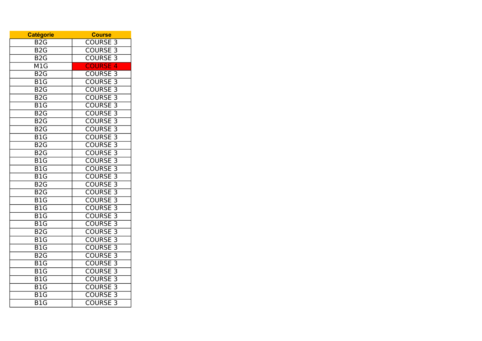| <b>Catégorie</b>          | <b>Course</b>                              |
|---------------------------|--------------------------------------------|
| B <sub>2</sub> G          | <b>COURSE 3</b>                            |
| B <sub>2</sub> G          | <b>COURSE 3</b>                            |
| $\overline{B2G}$          | <b>COURSE 3</b>                            |
| M1G                       | <b>COURSE 4</b>                            |
| B2G                       | <b>COURSE 3</b>                            |
| $\overline{B1G}$          | COURSE <sub>3</sub>                        |
| $\overline{B2G}$          | COURSE <sub>3</sub>                        |
| B <sub>2</sub> G          | <b>COURSE 3</b>                            |
| $\overline{B1G}$          | <b>COURSE 3</b>                            |
| $\overline{B2G}$          | <b>COURSE 3</b>                            |
| B2G                       | <b>COURSE 3</b>                            |
| B <sub>2</sub> G          | <b>COURSE 3</b>                            |
| $\overline{B1G}$          | <b>COURSE 3</b>                            |
| $\overline{B2G}$          | $\overline{3}$<br><b>COURSE</b>            |
| $\overline{B2G}$          | <b>COURSE 3</b>                            |
| B <sub>1</sub> G          | <b>COURSE 3</b>                            |
| $\overline{B1G}$          | <b>COURSE 3</b>                            |
| $\overline{B1G}$          | <b>COURSE 3</b>                            |
| $\overline{B2G}$          | <b>COURSE 3</b>                            |
| $\overline{B2G}$          | <b>COURSE 3</b>                            |
| $\overline{B1G}$          | <b>COURSE 3</b>                            |
| $\overline{\mathsf{B1G}}$ | $\overline{\overline{3}}$<br><b>COURSE</b> |
| $\overline{B1G}$          | <b>COURSE 3</b>                            |
| $\overline{B1G}$          | <b>COURSE 3</b>                            |
| $\overline{B2G}$          | <b>COURSE 3</b>                            |
| B1G                       | COURSE <sub>3</sub>                        |
| $\overline{\mathsf{B1G}}$ | <b>COURSE 3</b>                            |
| $\overline{B2G}$          | $\overline{3}$<br><b>COURSE</b>            |
| $\overline{B1G}$          | <b>COURSE 3</b>                            |
| $\overline{B1G}$          | <b>COURSE 3</b>                            |
| B <sub>1</sub> G          | <b>COURSE 3</b>                            |
| B <sub>1</sub> G          | <b>COURSE 3</b>                            |
| $\overline{B1G}$          | COURSE <sub>3</sub>                        |
| $\overline{\mathsf{B1G}}$ | <b>COURSE 3</b>                            |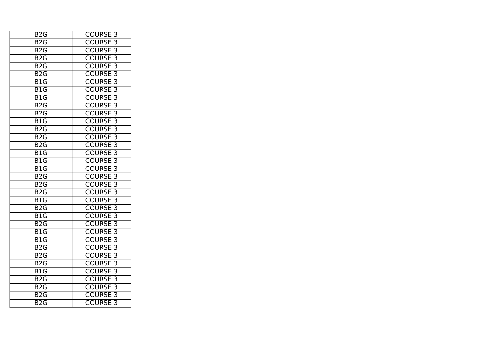| <b>COURSE 3</b>                 |
|---------------------------------|
| <b>COURSE 3</b>                 |
| <b>COURSE 3</b>                 |
| <b>COURSE 3</b>                 |
| <b>COURSE 3</b>                 |
| <b>COURSE 3</b>                 |
| <b>COURSE 3</b>                 |
| <b>COURSE 3</b>                 |
| <b>COURSE 3</b>                 |
| <b>COURSE 3</b>                 |
| <b>COURSE 3</b>                 |
| <b>COURSE 3</b>                 |
| <b>COURSE 3</b>                 |
| <b>COURSE 3</b>                 |
| <b>COURSE 3</b>                 |
| $\overline{3}$<br><b>COURSE</b> |
| <b>COURSE 3</b>                 |
| <b>COURSE 3</b>                 |
| <b>COURSE 3</b>                 |
| <b>COURSE 3</b>                 |
| <b>COURSE 3</b>                 |
| <b>COURSE 3</b>                 |
| <b>COURSE 3</b>                 |
| <b>COURSE 3</b>                 |
| <b>COURSE 3</b>                 |
| <b>COURSE 3</b>                 |
| <b>COURSE 3</b>                 |
| <b>COURSE 3</b>                 |
| <b>COURSE 3</b>                 |
| <b>COURSE 3</b>                 |
| <b>COURSE</b><br>$\overline{3}$ |
| <b>COURSE 3</b>                 |
| <b>COURSE 3</b>                 |
| <b>COURSE 3</b>                 |
| <b>COURSE 3</b>                 |
|                                 |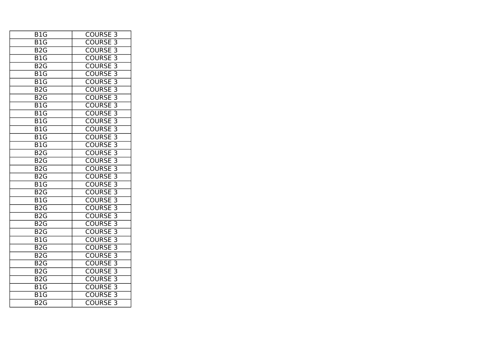| <b>COURSE 3</b>                 |
|---------------------------------|
| <b>COURSE 3</b>                 |
| <b>COURSE 3</b>                 |
| <b>COURSE 3</b>                 |
| <b>COURSE 3</b>                 |
| <b>COURSE 3</b>                 |
| <b>COURSE 3</b>                 |
| <b>COURSE 3</b>                 |
| <b>COURSE 3</b>                 |
| <b>COURSE 3</b>                 |
| <b>COURSE 3</b>                 |
| <b>COURSE 3</b>                 |
| <b>COURSE 3</b>                 |
| <b>COURSE 3</b>                 |
| <b>COURSE 3</b>                 |
| $\overline{3}$<br><b>COURSE</b> |
| <b>COURSE 3</b>                 |
| <b>COURSE 3</b>                 |
| <b>COURSE 3</b>                 |
| <b>COURSE 3</b>                 |
| <b>COURSE 3</b>                 |
| <b>COURSE 3</b>                 |
| <b>COURSE 3</b>                 |
| <b>COURSE 3</b>                 |
| <b>COURSE 3</b>                 |
| <b>COURSE 3</b>                 |
| <b>COURSE 3</b>                 |
| <b>COURSE 3</b>                 |
| <b>COURSE 3</b>                 |
| <b>COURSE 3</b>                 |
| <b>COURSE</b><br>$\overline{3}$ |
| <b>COURSE 3</b>                 |
| <b>COURSE 3</b>                 |
| <b>COURSE 3</b>                 |
| <b>COURSE 3</b>                 |
|                                 |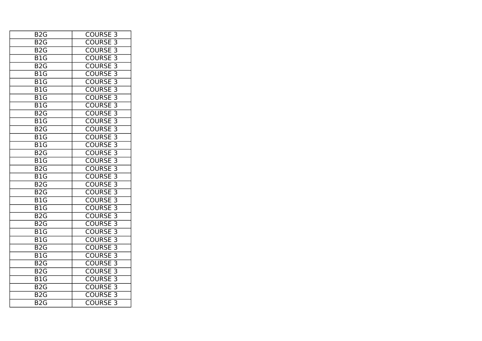| B <sub>2</sub> G          | <b>COURSE 3</b>                 |
|---------------------------|---------------------------------|
| B <sub>2</sub> G          | <b>COURSE 3</b>                 |
| $\overline{B2G}$          | <b>COURSE 3</b>                 |
| B1G                       | <b>COURSE 3</b>                 |
| $\overline{B2G}$          | <b>COURSE 3</b>                 |
| B <sub>1</sub> G          | <b>COURSE 3</b>                 |
| B1G                       | <b>COURSE 3</b>                 |
| B1G                       | <b>COURSE 3</b>                 |
| $\overline{B1G}$          | <b>COURSE 3</b>                 |
| $\overline{\mathsf{B1G}}$ | <b>COURSE 3</b>                 |
| $\overline{B2G}$          | <b>COURSE 3</b>                 |
| B <sub>1</sub> G          | <b>COURSE 3</b>                 |
| B <sub>2</sub> G          | <b>COURSE 3</b>                 |
| $\overline{B1G}$          | <b>COURSE 3</b>                 |
| $\overline{\mathsf{B1G}}$ | <b>COURSE 3</b>                 |
| $\overline{B2G}$          | $\overline{3}$<br><b>COURSE</b> |
| $\overline{B1G}$          | <b>COURSE 3</b>                 |
| $\overline{B2G}$          | <b>COURSE 3</b>                 |
| B <sub>1</sub> G          | <b>COURSE 3</b>                 |
| B2G                       | <b>COURSE 3</b>                 |
| B2G                       | <b>COURSE 3</b>                 |
| $\overline{B1G}$          | <b>COURSE 3</b>                 |
| $\overline{B1G}$          | <b>COURSE 3</b>                 |
| $\overline{B2G}$          | <b>COURSE 3</b>                 |
| B2G                       | <b>COURSE 3</b>                 |
| $\overline{B1G}$          | <b>COURSE 3</b>                 |
| B <sub>1</sub> G          | <b>COURSE 3</b>                 |
| B2G                       | <b>COURSE 3</b>                 |
| B <sub>1</sub> G          | <b>COURSE 3</b>                 |
| $\overline{B2G}$          | <b>COURSE 3</b>                 |
| B <sub>2</sub> G          | <b>COURSE</b><br>$\overline{3}$ |
| $\overline{B1G}$          | <b>COURSE 3</b>                 |
| B <sub>2</sub> G          | <b>COURSE 3</b>                 |
| B <sub>2</sub> G          | <b>COURSE 3</b>                 |
| B <sub>2</sub> G          | <b>COURSE 3</b>                 |
|                           |                                 |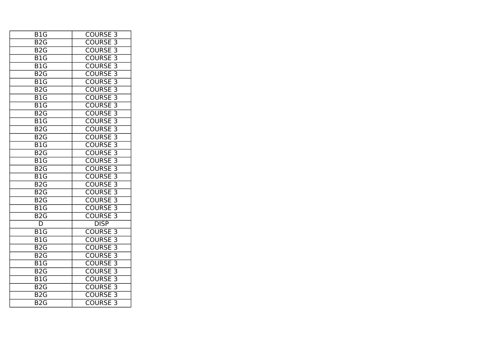| <b>COURSE 3</b>                 |
|---------------------------------|
| <b>COURSE 3</b>                 |
| <b>COURSE 3</b>                 |
| <b>COURSE 3</b>                 |
| <b>COURSE 3</b>                 |
| <b>COURSE 3</b>                 |
| <b>COURSE 3</b>                 |
| COURSE <sub>3</sub>             |
| COURSE <sub>3</sub>             |
| <b>COURSE 3</b>                 |
| <b>COURSE 3</b>                 |
| <b>COURSE 3</b>                 |
| <b>COURSE 3</b>                 |
| <b>COURSE 3</b>                 |
| <b>COURSE 3</b>                 |
| <b>COURSE</b><br>$\overline{3}$ |
| <b>COURSE 3</b>                 |
| <b>COURSE 3</b>                 |
| <b>COURSE 3</b>                 |
| <b>COURSE 3</b>                 |
| <b>COURSE 3</b>                 |
| COURSE <sub>3</sub>             |
| <b>COURSE 3</b>                 |
| $\overline{3}$<br><b>COURSE</b> |
| <b>DISP</b>                     |
| <b>COURSE 3</b>                 |
| <b>COURSE 3</b>                 |
| <b>COURSE 3</b>                 |
| <b>COURSE 3</b>                 |
| $\overline{3}$<br><b>COURSE</b> |
| <b>COURSE</b><br>$\overline{3}$ |
| <b>COURSE 3</b>                 |
| <b>COURSE 3</b>                 |
| <b>COURSE 3</b>                 |
| <b>COURSE 3</b>                 |
|                                 |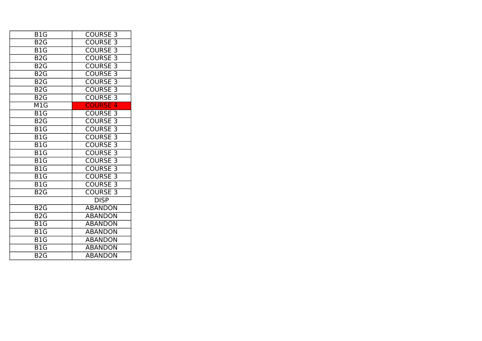| B <sub>1</sub> G          | <b>COURSE 3</b> |
|---------------------------|-----------------|
| B <sub>2</sub> G          | <b>COURSE 3</b> |
| B <sub>1</sub> G          | <b>COURSE 3</b> |
| $B2\overline{G}$          | <b>COURSE 3</b> |
| B <sub>2</sub> G          | <b>COURSE 3</b> |
| B <sub>2</sub> G          | <b>COURSE 3</b> |
| B <sub>2</sub> G          | <b>COURSE 3</b> |
| $B2\overline{G}$          | <b>COURSE 3</b> |
| B2G                       | <b>COURSE 3</b> |
| $\overline{\mathsf{M}1G}$ | <b>COURSE 4</b> |
| B1G                       | <b>COURSE 3</b> |
| B <sub>2</sub> G          | <b>COURSE 3</b> |
| B <sub>1</sub> G          | <b>COURSE 3</b> |
| B <sub>1</sub> G          | <b>COURSE 3</b> |
| B <sub>1</sub> G          | <b>COURSE 3</b> |
| B1G                       | <b>COURSE 3</b> |
| B <sub>1</sub> G          | <b>COURSE 3</b> |
| B1G                       | <b>COURSE 3</b> |
| B <sub>1</sub> G          | <b>COURSE 3</b> |
| B <sub>1</sub> G          | <b>COURSE 3</b> |
| B <sub>2</sub> G          | <b>COURSE 3</b> |
|                           | <b>DISP</b>     |
| B <sub>2</sub> G          | <b>ABANDON</b>  |
| B <sub>2</sub> G          | <b>ABANDON</b>  |
| B1G                       | <b>ABANDON</b>  |
| B <sub>1</sub> G          | <b>ABANDON</b>  |
| B <sub>1</sub> G          | <b>ABANDON</b>  |
| B1G                       | <b>ABANDON</b>  |
| B <sub>2</sub> G          | <b>ABANDON</b>  |
|                           |                 |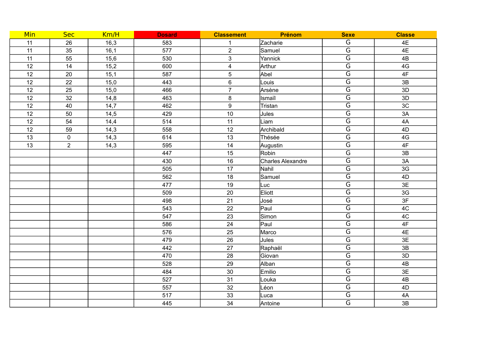| Min             | <b>Sec</b>     | Km/H | <b>Dosard</b> | <b>Classement</b>       | Prénom            | <b>Sexe</b>             | <b>Classe</b> |
|-----------------|----------------|------|---------------|-------------------------|-------------------|-------------------------|---------------|
| 11              | 26             | 16,3 | 583           | $\mathbf 1$             | Zacharie          | G                       | 4E            |
| 11              | 35             | 16,1 | 577           | $\overline{2}$          | Samuel            | $\overline{\mathsf{G}}$ | 4E            |
| 11              | 55             | 15,6 | 530           | 3                       | Yannick           | $\overline{\mathsf{G}}$ | 4B            |
| 12              | 14             | 15,2 | 600           | $\overline{\mathbf{4}}$ | Arthur            | $\overline{\mathsf{G}}$ | 4G            |
| 12              | 20             | 15,1 | 587           | 5                       | Abel              | $\overline{\mathsf{G}}$ | 4F            |
| 12              | 22             | 15,0 | 443           | 6                       | Louis             | $\overline{G}$          | 3B            |
| 12              | 25             | 15,0 | 466           | $\overline{7}$          | Arsène            | $\overline{\mathsf{G}}$ | 3D            |
| 12              | 32             | 14,8 | 463           | $\bf 8$                 | Ismaïl            | $\overline{\mathsf{G}}$ | 3D            |
| 12              | 40             | 14,7 | 462           | 9                       | Tristan           | $\overline{\mathsf{G}}$ | 3C            |
| 12              | 50             | 14,5 | 429           | $10$                    | Jules             | $\overline{\mathsf{G}}$ | 3A            |
| 12              | 54             | 14,4 | 514           | 11                      | Liam              | $\overline{\mathsf{G}}$ | 4A            |
| 12              | 59             | 14,3 | 558           | 12                      | Archibald         | $\overline{\mathsf{G}}$ | 4D            |
| 13              | $\mathbf 0$    | 14,3 | 614           | 13                      | Thésée            | $\overline{\mathsf{G}}$ | 4G            |
| $\overline{13}$ | $\overline{2}$ | 14,3 | 595           | 14                      | Augustin          | $\overline{\mathsf{G}}$ | 4F            |
|                 |                |      | 447           | 15                      | Robin             | $\overline{\mathsf{G}}$ | 3B            |
|                 |                |      | 430           | 16                      | Charles Alexandre | $\overline{\mathsf{G}}$ | 3A            |
|                 |                |      | 505           | 17                      | Nahil             | $\overline{\mathsf{G}}$ | 3G            |
|                 |                |      | 562           | 18                      | Samuel            | $\overline{\mathsf{G}}$ | 4D            |
|                 |                |      | 477           | 19                      | Luc               | $\overline{\mathsf{G}}$ | 3E            |
|                 |                |      | 509           | 20                      | Eliott            | $\overline{\mathsf{G}}$ | 3G            |
|                 |                |      | 498           | 21                      | José              | $\overline{\mathsf{G}}$ | 3F            |
|                 |                |      | 543           | 22                      | Paul              | $\overline{\mathsf{G}}$ | 4C            |
|                 |                |      | 547           | 23                      | Simon             | $\overline{\mathsf{G}}$ | 4C            |
|                 |                |      | 586           | 24                      | Paul              | $\overline{\mathsf{G}}$ | 4F            |
|                 |                |      | 576           | 25                      | Marco             | $\overline{\mathsf{G}}$ | 4E            |
|                 |                |      | 479           | 26                      | Jules             | G                       | 3E            |
|                 |                |      | 442           | 27                      | Raphaël           | $\overline{\mathsf{G}}$ | 3B            |
|                 |                |      | 470           | 28                      | Giovan            | $\overline{\mathsf{G}}$ | 3D            |
|                 |                |      | 528           | 29                      | Alban             | $\overline{\mathsf{G}}$ | 4B            |
|                 |                |      | 484           | 30                      | Emilio            | $\overline{\mathsf{G}}$ | 3E            |
|                 |                |      | 527           | 31                      | Louka             | $\overline{\mathsf{G}}$ | 4B            |
|                 |                |      | 557           | 32                      | Léon              | $\overline{\mathsf{G}}$ | 4D            |
|                 |                |      | 517           | 33                      | Luca              | $\overline{\mathsf{G}}$ | 4A            |
|                 |                |      | 445           | 34                      | Antoine           | $\overline{\mathsf{G}}$ | 3B            |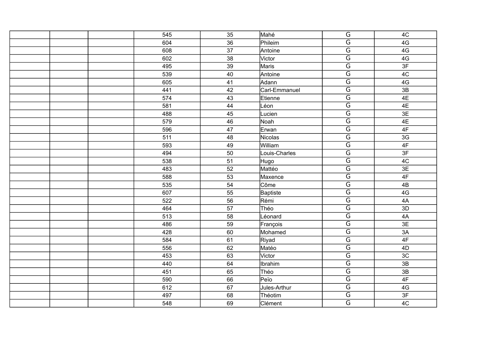| 545 | 35 | Mahé          | $\overline{G}$          | 4C            |
|-----|----|---------------|-------------------------|---------------|
| 604 | 36 | Phileim       | $\overline{\mathsf{G}}$ | 4G            |
| 608 | 37 | Antoine       | $\overline{G}$          | 4G            |
| 602 | 38 | Victor        | $\overline{\mathsf{G}}$ | 4G            |
| 495 | 39 | Maris         | $\overline{\mathsf{G}}$ | 3F            |
| 539 | 40 | Antoine       | $\overline{\mathsf{G}}$ | 4C            |
| 605 | 41 | Adann         | $\overline{\mathsf{G}}$ | 4G            |
| 441 | 42 | Carl-Emmanuel | $\overline{\mathsf{G}}$ | 3B            |
| 574 | 43 | Etienne       | $\overline{\mathsf{G}}$ | 4E            |
| 581 | 44 | Léon          | $\overline{\mathsf{G}}$ | 4E            |
| 488 | 45 | Lucien        | $\overline{\mathsf{G}}$ | 3E            |
| 579 | 46 | Noah          | $\overline{\mathsf{G}}$ | 4E            |
| 596 | 47 | Erwan         | $\overline{\mathsf{G}}$ | 4F            |
| 511 | 48 | Nicolas       | $\overline{\mathsf{G}}$ | 3G            |
| 593 | 49 | William       | $\overline{G}$          | 4F            |
| 494 | 50 | Louis-Charles | $\overline{\mathsf{G}}$ | 3F            |
| 538 | 51 | Hugo          | $\overline{\mathsf{G}}$ | 4C            |
| 483 | 52 | Mattéo        | $\overline{\mathsf{G}}$ | 3E            |
| 588 | 53 | Maxence       | $\overline{\mathsf{G}}$ | 4F            |
| 535 | 54 | Côme          | $\overline{\mathsf{G}}$ | 4B            |
| 607 | 55 | Baptiste      | $\overline{\mathsf{G}}$ | 4G            |
| 522 | 56 | Rémi          | $\overline{\mathsf{G}}$ | 4A            |
| 464 | 57 | Théo          | $\overline{G}$          | 3D            |
| 513 | 58 | Léonard       | $\overline{\mathsf{G}}$ | 4A            |
| 486 | 59 | François      | $\overline{\mathsf{G}}$ | 3E            |
| 428 | 60 | Mohamed       | $\overline{G}$          | 3A            |
| 584 | 61 | Riyad         | $\overline{\mathsf{G}}$ | 4F            |
| 556 | 62 | Matéo         | $\overline{\mathsf{G}}$ | 4D            |
| 453 | 63 | Victor        | $\overline{\mathsf{G}}$ | 3C            |
| 440 | 64 | Ibrahim       | $\overline{\mathsf{G}}$ | 3B            |
| 451 | 65 | Théo          | $\overline{\mathsf{G}}$ | 3B            |
| 590 | 66 | Peïo          | $\overline{\mathsf{G}}$ | $4\mathsf{F}$ |
| 612 | 67 | Jules-Arthur  | $\overline{\mathsf{G}}$ | 4G            |
| 497 | 68 | Théotim       | $\overline{G}$          | 3F            |
| 548 | 69 | Clément       | $\overline{\mathsf{G}}$ | 4C            |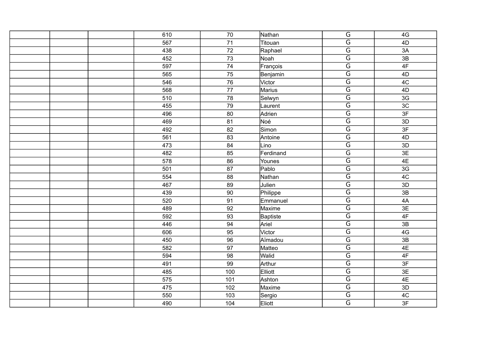|  | 610 | 70              | Nathan          | $\overline{\mathsf{G}}$ | 4G |
|--|-----|-----------------|-----------------|-------------------------|----|
|  | 567 | 71              | Titouan         | $\overline{G}$          | 4D |
|  | 438 | $\overline{72}$ | Raphael         | $\overline{G}$          | 3A |
|  | 452 | 73              | Noah            | $\overline{\mathsf{G}}$ | 3B |
|  | 597 | 74              | François        | $\overline{\mathsf{G}}$ | 4F |
|  | 565 | 75              | Benjamin        | $\overline{\mathsf{G}}$ | 4D |
|  | 546 | 76              | Victor          | $\overline{G}$          | 4C |
|  | 568 | 77              | <b>Marius</b>   | $\overline{\mathsf{G}}$ | 4D |
|  | 510 | 78              | Selwyn          | $\overline{\mathsf{G}}$ | 3G |
|  | 455 | 79              | Laurent         | $\overline{G}$          | 3C |
|  | 496 | 80              | Adrien          | $\overline{G}$          | 3F |
|  | 469 | 81              | Noé             | $\overline{\mathsf{G}}$ | 3D |
|  | 492 | 82              | Simon           | $\overline{\mathsf{G}}$ | 3F |
|  | 561 | 83              | Antoine         | $\overline{\mathsf{G}}$ | 4D |
|  | 473 | 84              | Lino            | $\overline{G}$          | 3D |
|  | 482 | 85              | Ferdinand       | $\overline{\mathsf{G}}$ | 3E |
|  | 578 | 86              | Younes          | $\overline{\mathsf{G}}$ | 4E |
|  | 501 | 87              | Pablo           | $\overline{G}$          | 3G |
|  | 554 | 88              | Nathan          | $\overline{\mathsf{G}}$ | 4C |
|  | 467 | 89              | Julien          | $\overline{\mathsf{G}}$ | 3D |
|  | 439 | 90              | Philippe        | $\overline{\mathsf{G}}$ | 3B |
|  | 520 | 91              | Emmanuel        | $\overline{\mathsf{G}}$ | 4A |
|  | 489 | 92              | Maxime          | $\overline{\mathsf{G}}$ | 3E |
|  | 592 | 93              | <b>Baptiste</b> | $\overline{\mathsf{G}}$ | 4F |
|  | 446 | 94              | Ariel           | $\overline{\mathsf{G}}$ | 3B |
|  | 606 | 95              | Victor          | $\overline{G}$          | 4G |
|  | 450 | 96              | Aïmadou         | $\overline{\mathsf{G}}$ | 3B |
|  | 582 | 97              | Matteo          | $\overline{\mathsf{G}}$ | 4E |
|  | 594 | 98              | Walid           | $\overline{\mathsf{G}}$ | 4F |
|  | 491 | 99              | Arthur          | $\overline{G}$          | 3F |
|  | 485 | 100             | Elliott         | $\overline{G}$          | 3E |
|  | 575 | 101             | Ashton          | $\overline{\mathsf{G}}$ | 4E |
|  | 475 | 102             | Maxime          | $\overline{\mathsf{G}}$ | 3D |
|  | 550 | 103             | Sergio          | $\overline{G}$          | 4C |
|  | 490 | 104             | Eliott          | $\overline{\mathsf{G}}$ | 3F |
|  |     |                 |                 |                         |    |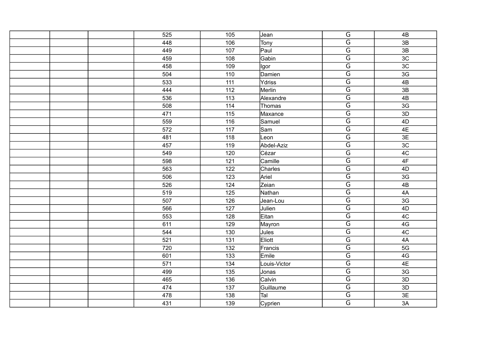| 525 | 105 | Jean         | $\overline{G}$          | 4B              |
|-----|-----|--------------|-------------------------|-----------------|
| 448 | 106 | Tony         | $\overline{\mathsf{G}}$ | 3B              |
| 449 | 107 | Paul         | $\overline{\mathsf{G}}$ | 3B              |
| 459 | 108 | Gabin        | $\overline{\mathsf{G}}$ | 3C              |
| 458 | 109 | Igor         | $\overline{\mathsf{G}}$ | 3C              |
| 504 | 110 | Damien       | $\overline{\mathsf{G}}$ | 3G              |
| 533 | 111 | Ydriss       | $\overline{G}$          | $\overline{AB}$ |
| 444 | 112 | Merlin       | $\overline{\mathsf{G}}$ | 3B              |
| 536 | 113 | Alexandre    | $\overline{\mathsf{G}}$ | 4B              |
| 508 | 114 | Thomas       | $\overline{\mathsf{G}}$ | 3G              |
| 471 | 115 | Maxance      | $\overline{G}$          | 3D              |
| 559 | 116 | Samuel       | $\overline{\mathsf{G}}$ | 4D              |
| 572 | 117 | Sam          | $\overline{\mathsf{G}}$ | 4E              |
| 481 | 118 | Leon         | $\overline{\mathsf{G}}$ | $\overline{3E}$ |
| 457 | 119 | Abdel-Aziz   | $\overline{G}$          | 3C              |
| 549 | 120 | Cézar        | $\overline{G}$          | 4C              |
| 598 | 121 | Camille      | $\overline{\mathsf{G}}$ | $4\mathsf{F}$   |
| 563 | 122 | Charles      | $\overline{\mathsf{G}}$ | 4D              |
| 506 | 123 | Ariel        | $\overline{G}$          | 3G              |
| 526 | 124 | Zeian        | $\overline{\mathsf{G}}$ | 4B              |
| 519 | 125 | Nathan       | $\overline{\mathsf{G}}$ | 4A              |
| 507 | 126 | Jean-Lou     | $\overline{\mathsf{G}}$ | 3G              |
| 566 | 127 | Julien       | $\overline{G}$          | 4D              |
| 553 | 128 | Eitan        | $\overline{\mathsf{G}}$ | 4C              |
| 611 | 129 | Mayron       | $\overline{\mathsf{G}}$ | 4G              |
| 544 | 130 | Jules        | $\overline{\mathsf{G}}$ | 4C              |
| 521 | 131 | Eliott       | $\overline{\mathsf{G}}$ | 4A              |
| 720 | 132 | Francis      | $\overline{\mathsf{G}}$ | 5G              |
| 601 | 133 | Emile        | $\overline{\mathsf{G}}$ | 4G              |
| 571 | 134 | Louis-Victor | $\overline{G}$          | 4E              |
| 499 | 135 | Jonas        | $\overline{G}$          | 3G              |
| 465 | 136 | Calvin       | $\overline{\mathsf{G}}$ | 3D              |
| 474 | 137 | Guillaume    | $\overline{\mathsf{G}}$ | 3D              |
| 478 | 138 | Tal          | $\overline{G}$          | 3E              |
| 431 | 139 | Cyprien      | $\overline{\mathsf{G}}$ | 3A              |
|     |     |              |                         |                 |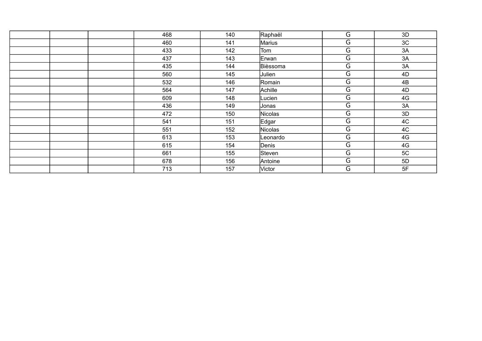| 468 | 140 | Raphaël  | G              | 3D |
|-----|-----|----------|----------------|----|
| 460 | 141 | Marius   | $\overline{G}$ | 3C |
| 433 | 142 | Tom      | G              | 3A |
| 437 | 143 | Erwan    | $\overline{G}$ | 3A |
| 435 | 144 | Bièssoma | G              | 3A |
| 560 | 145 | Julien   | G              | 4D |
| 532 | 146 | Romain   | G              | 4B |
| 564 | 147 | Achille  | G              | 4D |
| 609 | 148 | Lucien   | G              | 4G |
| 436 | 149 | Jonas    | G              | 3A |
| 472 | 150 | Nicolas  | G              | 3D |
| 541 | 151 | Edgar    | G              | 4C |
| 551 | 152 | Nicolas  | G              | 4C |
| 613 | 153 | Leonardo | G              | 4G |
| 615 | 154 | Denis    | G              | 4G |
| 661 | 155 | Steven   | $\overline{G}$ | 5C |
| 678 | 156 | Antoine  | G              | 5D |
| 713 | 157 | Victor   | G              | 5F |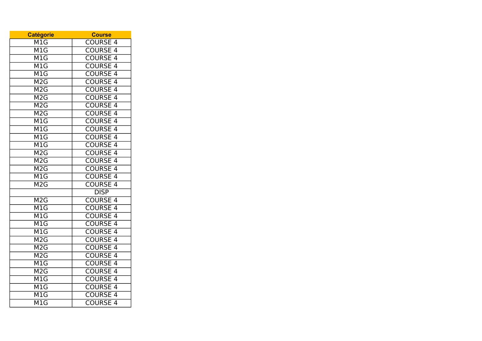| <b>Catégorie</b>          | <b>Course</b>                   |
|---------------------------|---------------------------------|
| M <sub>1</sub> G          | <b>COURSE 4</b>                 |
| M1G                       | <b>COURSE 4</b>                 |
| M1G                       | <b>COURSE 4</b>                 |
| $\overline{\text{M1G}}$   | <b>COURSE 4</b>                 |
| $\overline{\mathsf{M}1G}$ | <b>COURSE 4</b>                 |
| M2G                       | <b>COURSE 4</b>                 |
| M2G                       | <b>COURSE 4</b>                 |
| M2G                       | <b>COURSE 4</b>                 |
| M2G                       | <b>COURSE 4</b>                 |
| M2G                       | <b>COURSE 4</b>                 |
| M1G                       | <b>COURSE 4</b>                 |
| $\overline{\mathsf{M}1G}$ | <b>COURSE 4</b>                 |
| $\overline{\mathsf{M}1G}$ | <b>COURSE 4</b>                 |
| $\overline{\mathsf{M1G}}$ | <b>COURSE 4</b>                 |
| $\overline{\text{M2}}$ G  | <b>COURSE</b><br>$\overline{4}$ |
| M2G                       | <b>COURSE 4</b>                 |
| M2G                       | <b>COURSE 4</b>                 |
| M1G                       | <b>COURSE 4</b>                 |
| M2G                       | <b>COURSE 4</b>                 |
|                           | <b>DISP</b>                     |
| M2G                       | <b>COURSE 4</b>                 |
| $\overline{\text{M1}}$ G  | <b>COURSE 4</b>                 |
| M1G                       | <b>COURSE 4</b>                 |
| $\overline{\mathsf{M}1G}$ | <b>COURSE 4</b>                 |
| $\overline{\mathsf{M}1G}$ | <b>COURSE 4</b>                 |
| M2G                       | <b>COURSE 4</b>                 |
| M2G                       | <b>COURSE 4</b>                 |
| M2G                       | <b>COURSE</b><br>$\overline{4}$ |
| $\overline{\textsf{M1G}}$ | <b>COURSE</b><br>$\overline{4}$ |
| M <sub>2</sub> G          | <b>COURSE</b><br>$\overline{4}$ |
| M1G                       | <b>COURSE 4</b>                 |
| $\overline{\mathsf{M1G}}$ | <b>COURSE 4</b>                 |
| $\overline{\mathsf{M1G}}$ | <b>COURSE 4</b>                 |
| M1G                       | <b>COURSE 4</b>                 |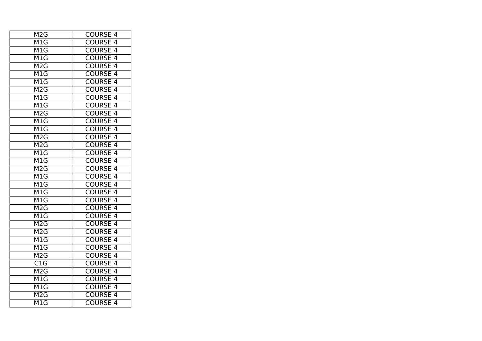| M <sub>2</sub> G          | <b>COURSE 4</b>                 |
|---------------------------|---------------------------------|
| M <sub>1</sub> G          | <b>COURSE 4</b>                 |
| M1G                       | <b>COURSE 4</b>                 |
| M1G                       | <b>COURSE 4</b>                 |
| M2G                       | <b>COURSE 4</b>                 |
| M1G                       | <b>COURSE 4</b>                 |
| $\overline{\mathsf{M}1G}$ | <b>COURSE 4</b>                 |
| M2G                       | <b>COURSE 4</b>                 |
| M1G                       | <b>COURSE 4</b>                 |
| M1G                       | <b>COURSE 4</b>                 |
| M2G                       | <b>COURSE 4</b>                 |
| M1G                       | <b>COURSE 4</b>                 |
| $\overline{\mathsf{M}1G}$ | <b>COURSE 4</b>                 |
| M2G                       | <b>COURSE 4</b>                 |
| M2G                       | <b>COURSE 4</b>                 |
| $\overline{\mathsf{M1G}}$ | <b>COURSE 4</b>                 |
| M1G                       | <b>COURSE 4</b>                 |
| M <sub>2</sub> G          | <b>COURSE 4</b>                 |
| M1G                       | <b>COURSE 4</b>                 |
| $\overline{\text{M1G}}$   | <b>COURSE 4</b>                 |
| $\overline{\text{M1G}}$   | <b>COURSE 4</b>                 |
| M1G                       | <b>COURSE 4</b>                 |
| M2G                       | <b>COURSE 4</b>                 |
| $\overline{\mathsf{M}1G}$ | <b>COURSE 4</b>                 |
| M2G                       | <b>COURSE 4</b>                 |
| M2G                       | <b>COURSE 4</b>                 |
| M <sub>1</sub> G          | <b>COURSE 4</b>                 |
| M1G                       | <b>COURSE 4</b>                 |
| $\overline{\mathsf{M2G}}$ | <b>COURSE</b><br>$\overline{4}$ |
| $\overline{\text{C1G}}$   | <b>COURSE 4</b>                 |
| M2G                       | <b>COURSE</b><br>$\overline{4}$ |
| M1G                       | <b>COURSE</b><br>$\overline{4}$ |
| M <sub>1</sub> G          | <b>COURSE 4</b>                 |
| M2G                       | <b>COURSE 4</b>                 |
| M1G                       | <b>COURSE 4</b>                 |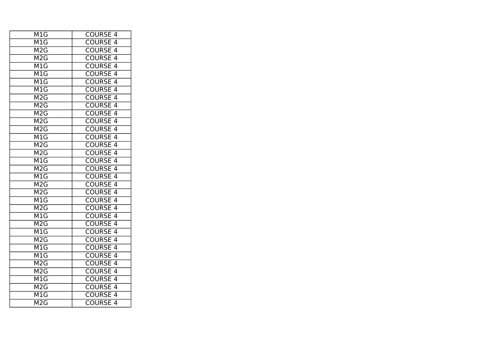| $\overline{\textsf{M}}$ 1G                  | <b>COURSE 4</b>                 |
|---------------------------------------------|---------------------------------|
| M1G                                         | <b>COURSE 4</b>                 |
| $\overline{\text{M2}}$ G                    | <b>COURSE 4</b>                 |
| M2G                                         | <b>COURSE 4</b>                 |
| M1G                                         | <b>COURSE 4</b>                 |
| M1G                                         | <b>COURSE 4</b>                 |
| $\overline{\mathsf{M}1G}$                   | <b>COURSE 4</b>                 |
| M1G                                         | <b>COURSE 4</b>                 |
| M2G                                         | <b>COURSE 4</b>                 |
| M <sub>2</sub> G                            | <b>COURSE 4</b>                 |
| $\overline{\text{M2}}$ G                    | <b>COURSE 4</b>                 |
| M <sub>2</sub> G                            | <b>COURSE 4</b>                 |
| M2G                                         | <b>COURSE 4</b>                 |
| MIG                                         | <b>COURSE 4</b>                 |
| M2G                                         | <b>COURSE 4</b>                 |
| M2G                                         | <b>COURSE 4</b>                 |
| M1G                                         | <b>COURSE 4</b>                 |
| M <sub>2</sub> G                            | <b>COURSE 4</b>                 |
| M1G                                         | <b>COURSE 4</b>                 |
| $\overline{\text{M2G}}$                     | <b>COURSE 4</b>                 |
| $\overline{\text{M2G}}$                     | <b>COURSE 4</b>                 |
| M1G                                         | <b>COURSE 4</b>                 |
| M2G                                         | <b>COURSE 4</b>                 |
| M1G                                         | <b>COURSE 4</b>                 |
| $\overline{\text{M2G}}$                     | <b>COURSE 4</b>                 |
| M <sub>1</sub> G                            | <b>COURSE 4</b>                 |
| M <sub>2</sub> G                            | <b>COURSE 4</b>                 |
| M1G                                         | <b>COURSE 4</b>                 |
| M <sub>1</sub> G                            | <b>COURSE 4</b>                 |
| M2G                                         | <b>COURSE 4</b>                 |
| M2G                                         | <b>COURSE</b><br>$\overline{4}$ |
| M1G                                         | <b>COURSE 4</b>                 |
| M <sub>2</sub> G                            | <b>COURSE 4</b>                 |
| $\overline{\mathsf{M}}\mathsf{1}\mathsf{G}$ | <b>COURSE 4</b>                 |
| M2G                                         | <b>COURSE 4</b>                 |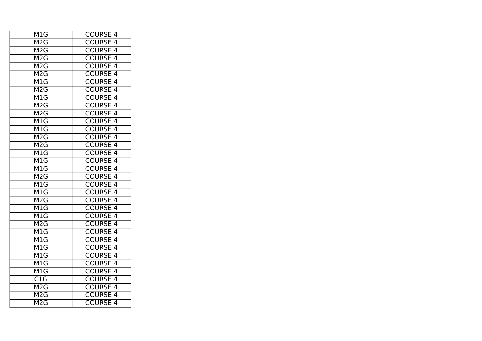| M1G                       | <b>COURSE 4</b>                 |
|---------------------------|---------------------------------|
| M <sub>2</sub> G          | <b>COURSE 4</b>                 |
| M2G                       | <b>COURSE 4</b>                 |
| M2G                       | <b>COURSE 4</b>                 |
| M2G                       | <b>COURSE 4</b>                 |
| $\overline{\text{M2G}}$   | <b>COURSE 4</b>                 |
| M <sub>1</sub> G          | <b>COURSE 4</b>                 |
| M2G                       | <b>COURSE 4</b>                 |
| M1G                       | <b>COURSE 4</b>                 |
| M2G                       | <b>COURSE 4</b>                 |
| M2G                       | <b>COURSE 4</b>                 |
| M1G                       | <b>COURSE 4</b>                 |
| $\overline{\mathsf{M}1G}$ | <b>COURSE 4</b>                 |
| M2G                       | <b>COURSE 4</b>                 |
| M2G                       | <b>COURSE 4</b>                 |
| M1G                       | <b>COURSE 4</b>                 |
| M1G                       | <b>COURSE 4</b>                 |
| M1G                       | <b>COURSE 4</b>                 |
| M2G                       | <b>COURSE 4</b>                 |
| M1G                       | <b>COURSE 4</b>                 |
| $\overline{\text{M1G}}$   | <b>COURSE 4</b>                 |
| M2G                       | <b>COURSE 4</b>                 |
| M1G                       | <b>COURSE 4</b>                 |
| $\overline{\mathsf{M}1G}$ | <b>COURSE 4</b>                 |
| M2G                       | <b>COURSE 4</b>                 |
| $\overline{\mathsf{M}1G}$ | <b>COURSE 4</b>                 |
| M <sub>1</sub> G          | <b>COURSE 4</b>                 |
| M1G                       | <b>COURSE 4</b>                 |
| M1G                       | <b>COURSE</b><br>$\overline{4}$ |
| $\overline{\mathsf{M}1G}$ | <b>COURSE 4</b>                 |
| $\overline{\mathsf{M}1G}$ | <b>COURSE</b><br>$\overline{4}$ |
| $\overline{\text{C1G}}$   | <b>COURSE</b><br>$\overline{4}$ |
| M <sub>2</sub> G          | <b>COURSE 4</b>                 |
| M <sub>2</sub> G          | <b>COURSE 4</b>                 |
| M <sub>2</sub> G          | <b>COURSE 4</b>                 |